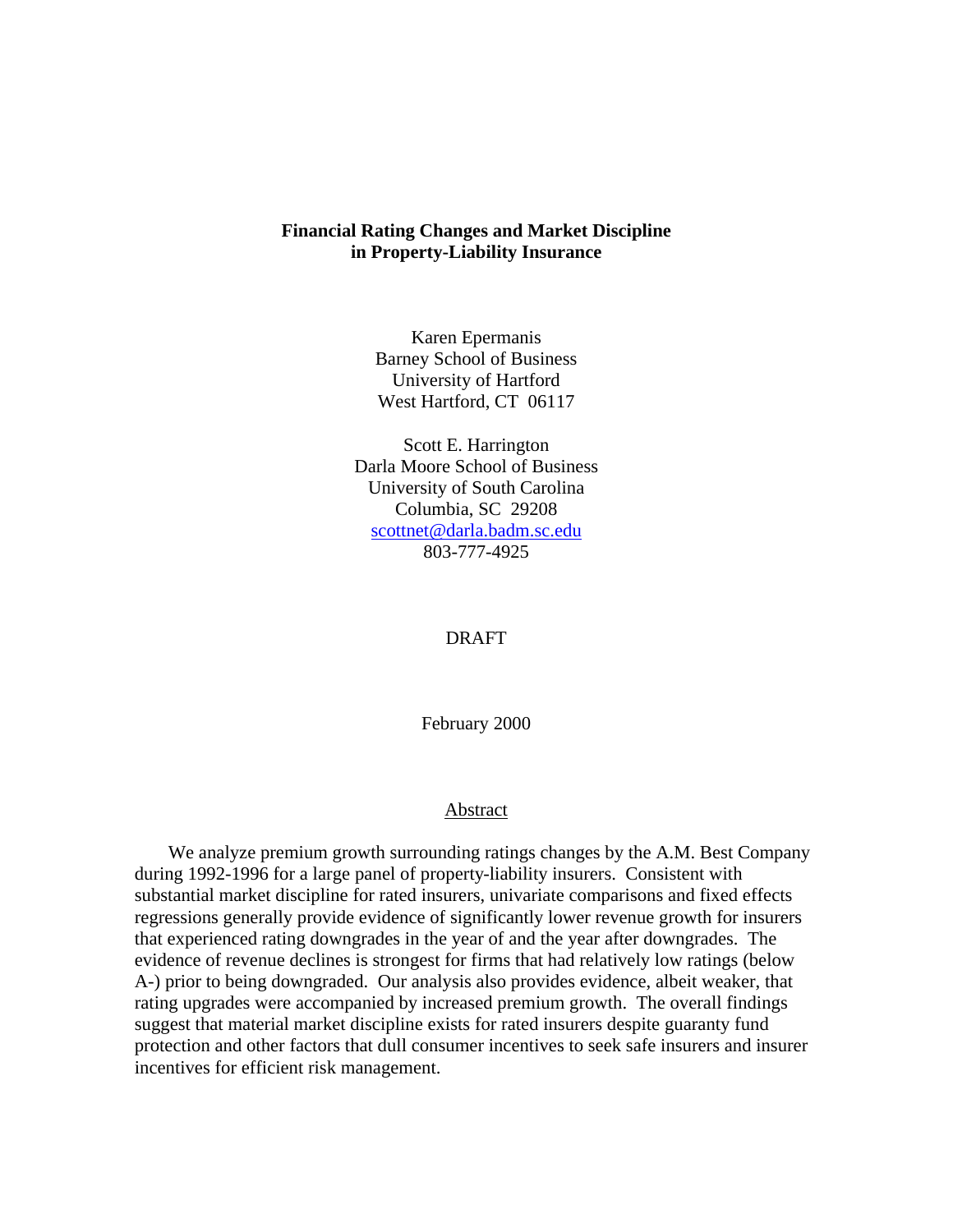### **Financial Rating Changes and Market Discipline in Property-Liability Insurance**

Karen Epermanis Barney School of Business University of Hartford West Hartford, CT 06117

Scott E. Harrington Darla Moore School of Business University of South Carolina Columbia, SC 29208 scottnet@darla.badm.sc.edu 803-777-4925

#### DRAFT

February 2000

#### Abstract

We analyze premium growth surrounding ratings changes by the A.M. Best Company during 1992-1996 for a large panel of property-liability insurers. Consistent with substantial market discipline for rated insurers, univariate comparisons and fixed effects regressions generally provide evidence of significantly lower revenue growth for insurers that experienced rating downgrades in the year of and the year after downgrades. The evidence of revenue declines is strongest for firms that had relatively low ratings (below A-) prior to being downgraded. Our analysis also provides evidence, albeit weaker, that rating upgrades were accompanied by increased premium growth. The overall findings suggest that material market discipline exists for rated insurers despite guaranty fund protection and other factors that dull consumer incentives to seek safe insurers and insurer incentives for efficient risk management.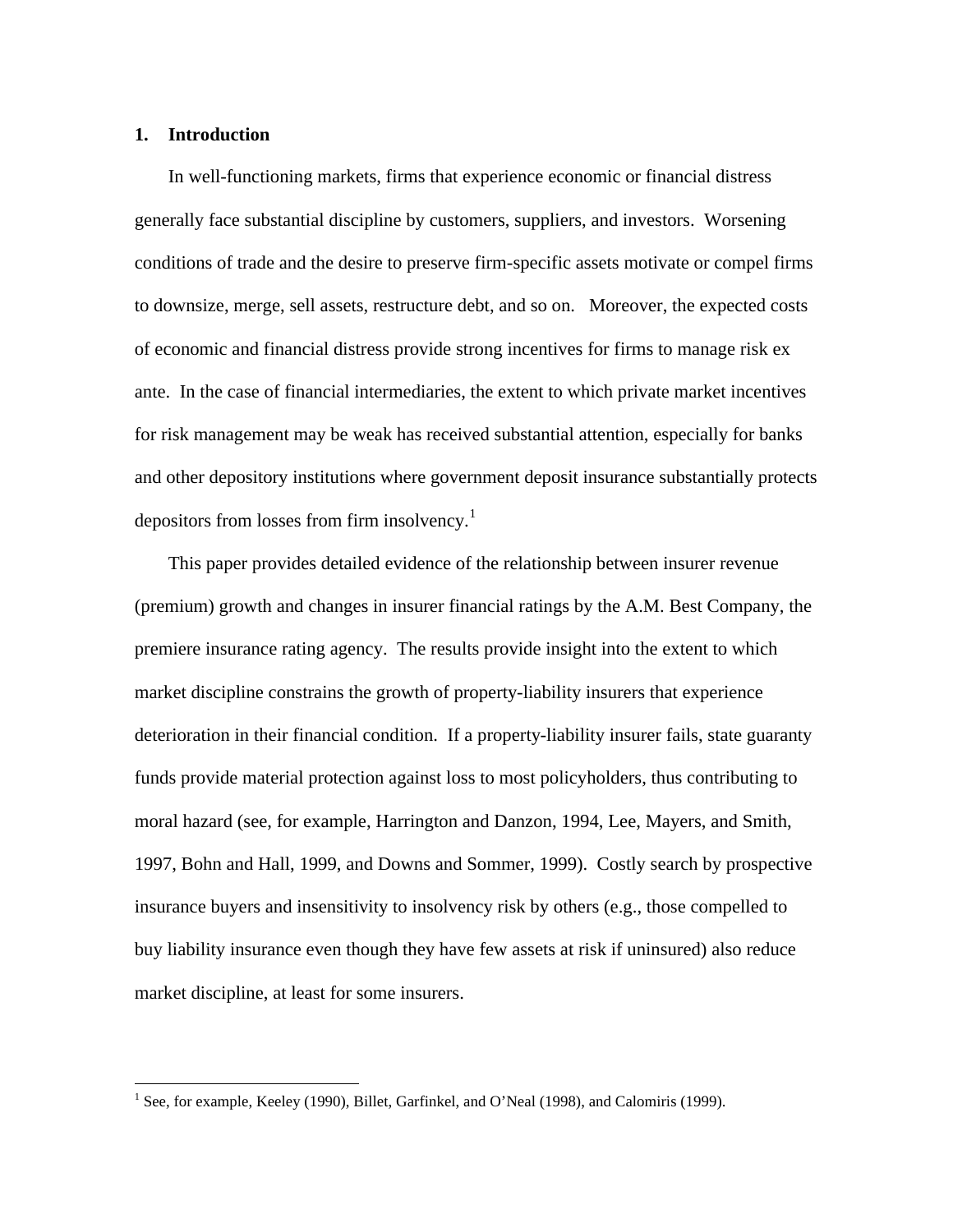#### **1. Introduction**

1

In well-functioning markets, firms that experience economic or financial distress generally face substantial discipline by customers, suppliers, and investors. Worsening conditions of trade and the desire to preserve firm-specific assets motivate or compel firms to downsize, merge, sell assets, restructure debt, and so on. Moreover, the expected costs of economic and financial distress provide strong incentives for firms to manage risk ex ante. In the case of financial intermediaries, the extent to which private market incentives for risk management may be weak has received substantial attention, especially for banks and other depository institutions where government deposit insurance substantially protects depositors from losses from firm insolvency.<sup>1</sup>

This paper provides detailed evidence of the relationship between insurer revenue (premium) growth and changes in insurer financial ratings by the A.M. Best Company, the premiere insurance rating agency. The results provide insight into the extent to which market discipline constrains the growth of property-liability insurers that experience deterioration in their financial condition. If a property-liability insurer fails, state guaranty funds provide material protection against loss to most policyholders, thus contributing to moral hazard (see, for example, Harrington and Danzon, 1994, Lee, Mayers, and Smith, 1997, Bohn and Hall, 1999, and Downs and Sommer, 1999). Costly search by prospective insurance buyers and insensitivity to insolvency risk by others (e.g., those compelled to buy liability insurance even though they have few assets at risk if uninsured) also reduce market discipline, at least for some insurers.

<sup>&</sup>lt;sup>1</sup> See, for example, Keeley (1990), Billet, Garfinkel, and O'Neal (1998), and Calomiris (1999).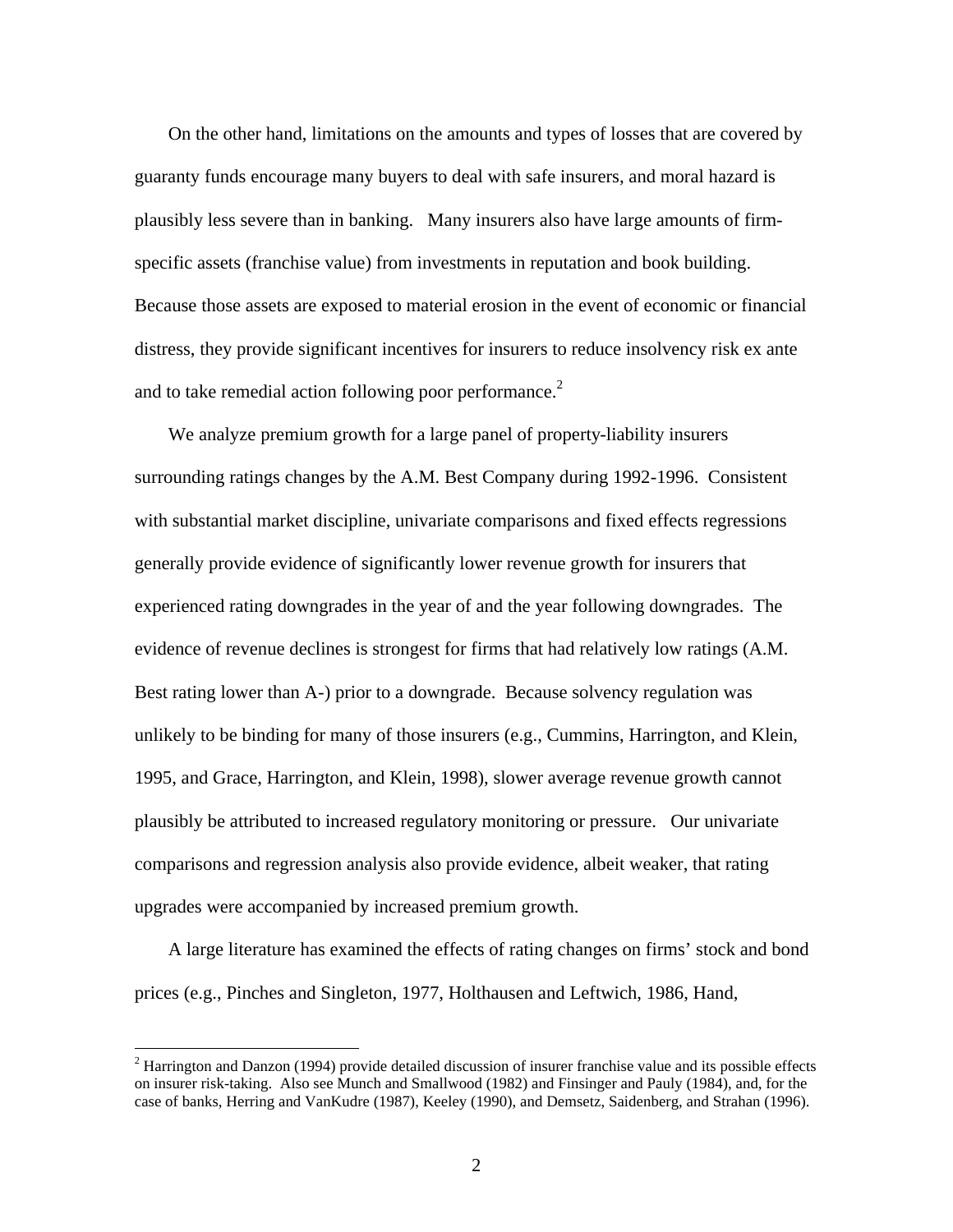On the other hand, limitations on the amounts and types of losses that are covered by guaranty funds encourage many buyers to deal with safe insurers, and moral hazard is plausibly less severe than in banking. Many insurers also have large amounts of firmspecific assets (franchise value) from investments in reputation and book building. Because those assets are exposed to material erosion in the event of economic or financial distress, they provide significant incentives for insurers to reduce insolvency risk ex ante and to take remedial action following poor performance.<sup>2</sup>

We analyze premium growth for a large panel of property-liability insurers surrounding ratings changes by the A.M. Best Company during 1992-1996. Consistent with substantial market discipline, univariate comparisons and fixed effects regressions generally provide evidence of significantly lower revenue growth for insurers that experienced rating downgrades in the year of and the year following downgrades. The evidence of revenue declines is strongest for firms that had relatively low ratings (A.M. Best rating lower than A-) prior to a downgrade. Because solvency regulation was unlikely to be binding for many of those insurers (e.g., Cummins, Harrington, and Klein, 1995, and Grace, Harrington, and Klein, 1998), slower average revenue growth cannot plausibly be attributed to increased regulatory monitoring or pressure. Our univariate comparisons and regression analysis also provide evidence, albeit weaker, that rating upgrades were accompanied by increased premium growth.

A large literature has examined the effects of rating changes on firms' stock and bond prices (e.g., Pinches and Singleton, 1977, Holthausen and Leftwich, 1986, Hand,

 $2$  Harrington and Danzon (1994) provide detailed discussion of insurer franchise value and its possible effects on insurer risk-taking. Also see Munch and Smallwood (1982) and Finsinger and Pauly (1984), and, for the case of banks, Herring and VanKudre (1987), Keeley (1990), and Demsetz, Saidenberg, and Strahan (1996).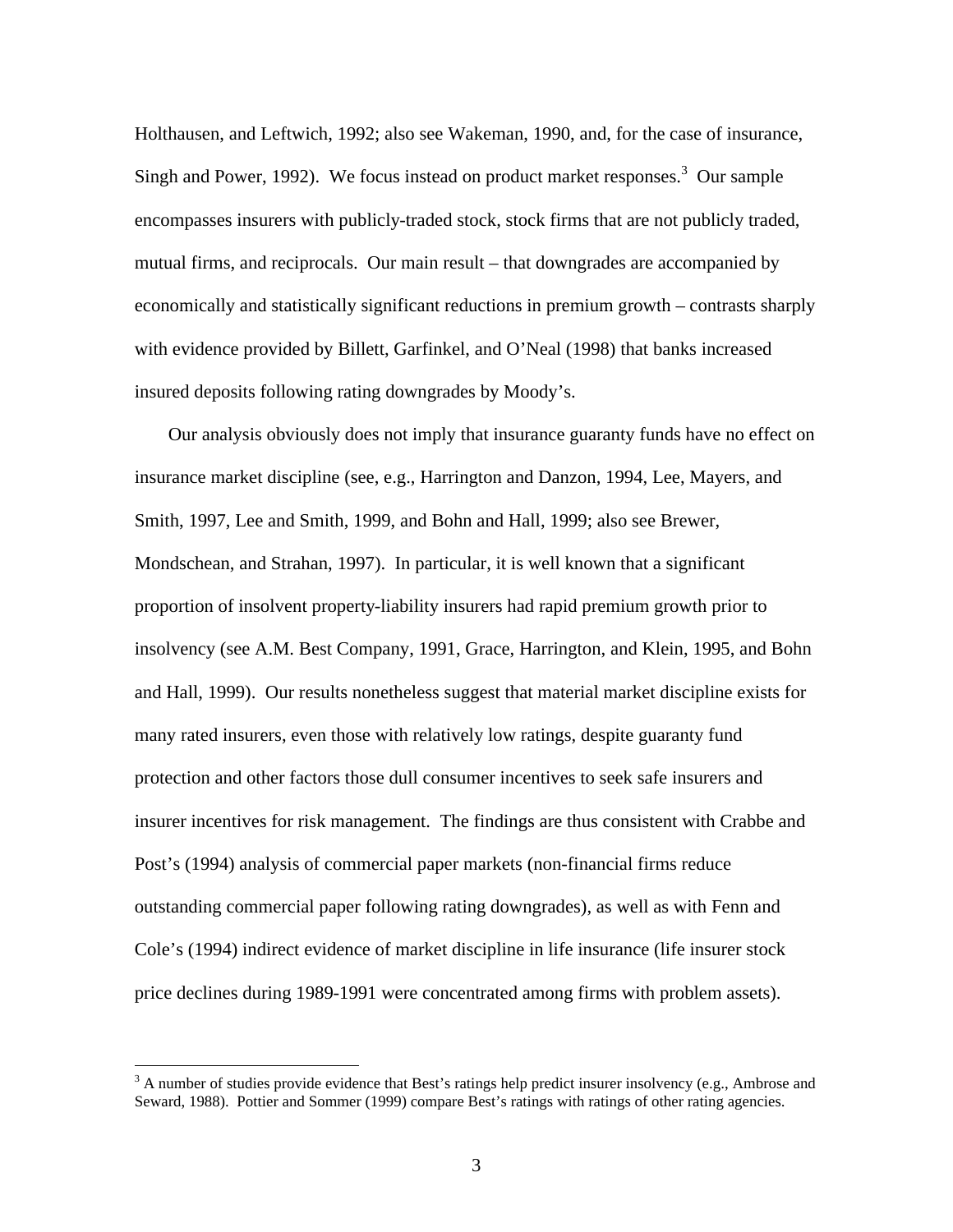Holthausen, and Leftwich, 1992; also see Wakeman, 1990, and, for the case of insurance, Singh and Power, 1992). We focus instead on product market responses.<sup>3</sup> Our sample encompasses insurers with publicly-traded stock, stock firms that are not publicly traded, mutual firms, and reciprocals. Our main result – that downgrades are accompanied by economically and statistically significant reductions in premium growth – contrasts sharply with evidence provided by Billett, Garfinkel, and O'Neal (1998) that banks increased insured deposits following rating downgrades by Moody's.

Our analysis obviously does not imply that insurance guaranty funds have no effect on insurance market discipline (see, e.g., Harrington and Danzon, 1994, Lee, Mayers, and Smith, 1997, Lee and Smith, 1999, and Bohn and Hall, 1999; also see Brewer, Mondschean, and Strahan, 1997). In particular, it is well known that a significant proportion of insolvent property-liability insurers had rapid premium growth prior to insolvency (see A.M. Best Company, 1991, Grace, Harrington, and Klein, 1995, and Bohn and Hall, 1999). Our results nonetheless suggest that material market discipline exists for many rated insurers, even those with relatively low ratings, despite guaranty fund protection and other factors those dull consumer incentives to seek safe insurers and insurer incentives for risk management. The findings are thus consistent with Crabbe and Post's (1994) analysis of commercial paper markets (non-financial firms reduce outstanding commercial paper following rating downgrades), as well as with Fenn and Cole's (1994) indirect evidence of market discipline in life insurance (life insurer stock price declines during 1989-1991 were concentrated among firms with problem assets).

<u>.</u>

<sup>&</sup>lt;sup>3</sup> A number of studies provide evidence that Best's ratings help predict insurer insolvency (e.g., Ambrose and Seward, 1988). Pottier and Sommer (1999) compare Best's ratings with ratings of other rating agencies.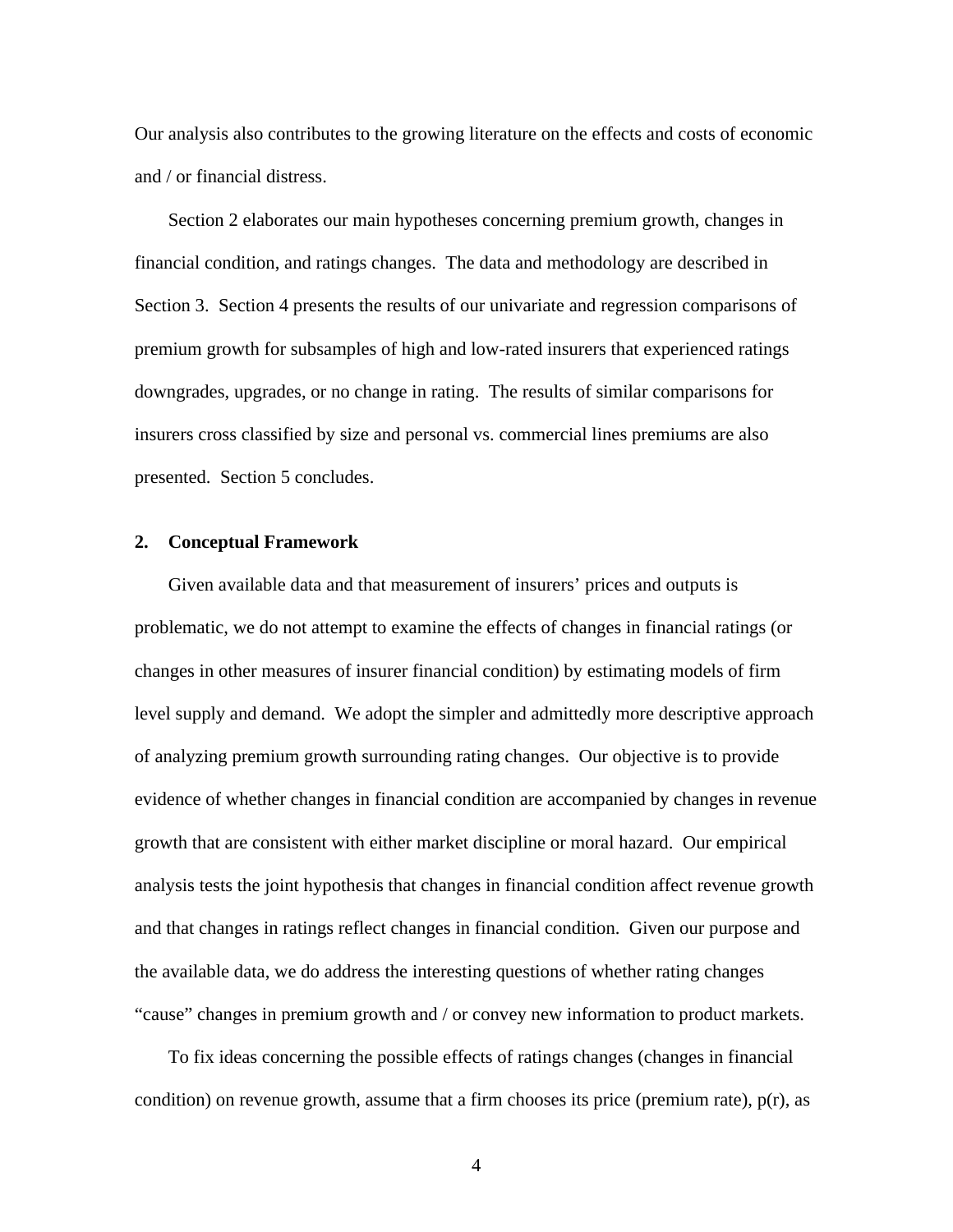Our analysis also contributes to the growing literature on the effects and costs of economic and / or financial distress.

Section 2 elaborates our main hypotheses concerning premium growth, changes in financial condition, and ratings changes. The data and methodology are described in Section 3. Section 4 presents the results of our univariate and regression comparisons of premium growth for subsamples of high and low-rated insurers that experienced ratings downgrades, upgrades, or no change in rating. The results of similar comparisons for insurers cross classified by size and personal vs. commercial lines premiums are also presented. Section 5 concludes.

#### **2. Conceptual Framework**

Given available data and that measurement of insurers' prices and outputs is problematic, we do not attempt to examine the effects of changes in financial ratings (or changes in other measures of insurer financial condition) by estimating models of firm level supply and demand. We adopt the simpler and admittedly more descriptive approach of analyzing premium growth surrounding rating changes. Our objective is to provide evidence of whether changes in financial condition are accompanied by changes in revenue growth that are consistent with either market discipline or moral hazard. Our empirical analysis tests the joint hypothesis that changes in financial condition affect revenue growth and that changes in ratings reflect changes in financial condition. Given our purpose and the available data, we do address the interesting questions of whether rating changes "cause" changes in premium growth and / or convey new information to product markets.

To fix ideas concerning the possible effects of ratings changes (changes in financial condition) on revenue growth, assume that a firm chooses its price (premium rate),  $p(r)$ , as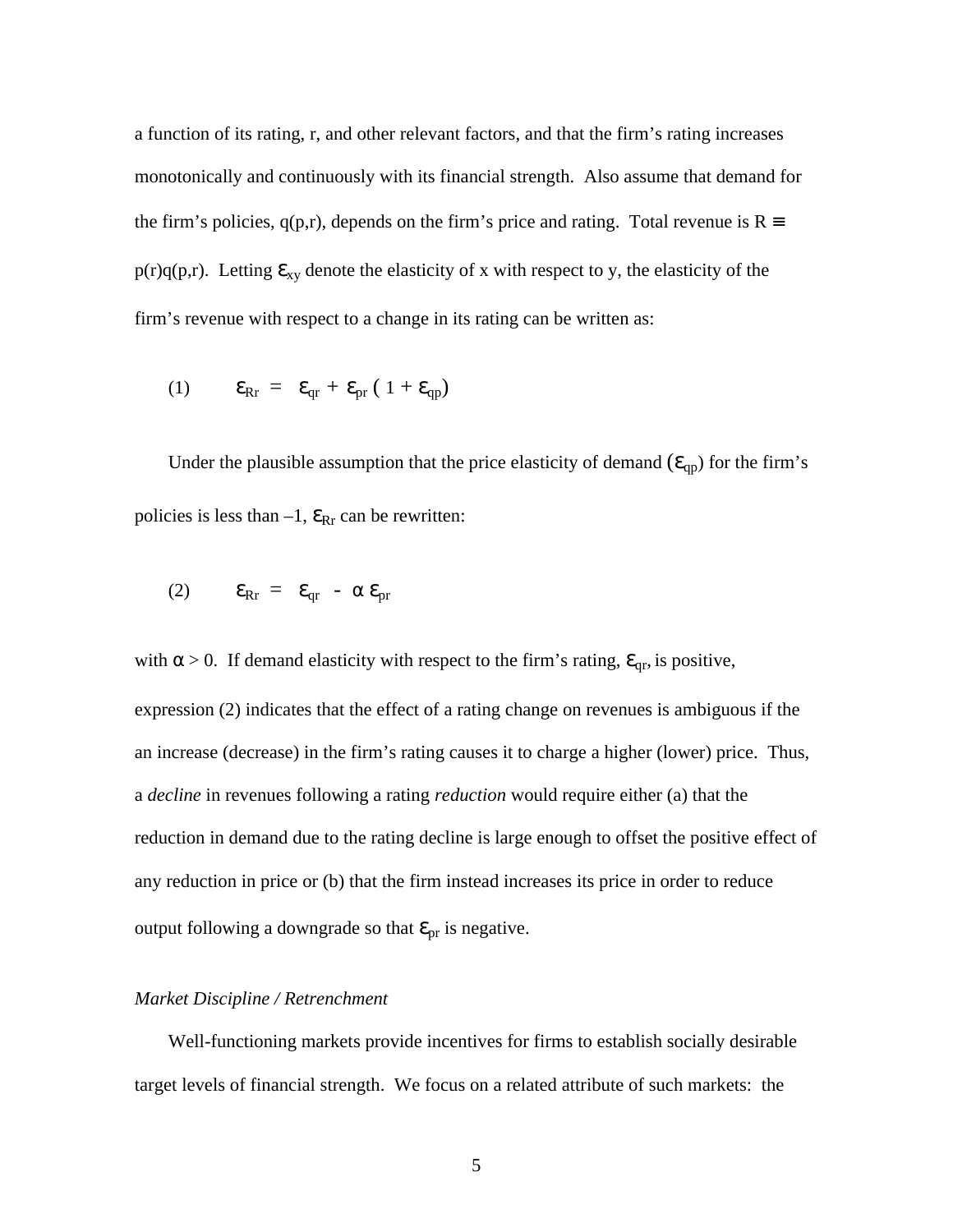a function of its rating, r, and other relevant factors, and that the firm's rating increases monotonically and continuously with its financial strength. Also assume that demand for the firm's policies,  $q(p,r)$ , depends on the firm's price and rating. Total revenue is  $R \equiv$  $p(r)q(p,r)$ . Letting  $\epsilon_{xy}$  denote the elasticity of x with respect to y, the elasticity of the firm's revenue with respect to a change in its rating can be written as:

(1) 
$$
\mathbf{\varepsilon}_{\mathrm{Rr}} = \mathbf{\varepsilon}_{\mathrm{qr}} + \mathbf{\varepsilon}_{\mathrm{pr}} (1 + \mathbf{\varepsilon}_{\mathrm{qp}})
$$

Under the plausible assumption that the price elasticity of demand  $(\epsilon_{qp})$  for the firm's policies is less than  $-1$ ,  $\epsilon_{\text{Rr}}$  can be rewritten:

$$
(2) \qquad \epsilon_{Rr} = \epsilon_{qr} - \alpha \epsilon_{pr}
$$

with  $\alpha > 0$ . If demand elasticity with respect to the firm's rating,  $\epsilon_{qr}$ , is positive, expression (2) indicates that the effect of a rating change on revenues is ambiguous if the an increase (decrease) in the firm's rating causes it to charge a higher (lower) price. Thus, a *decline* in revenues following a rating *reduction* would require either (a) that the reduction in demand due to the rating decline is large enough to offset the positive effect of any reduction in price or (b) that the firm instead increases its price in order to reduce output following a downgrade so that  $\epsilon_{pr}$  is negative.

#### *Market Discipline / Retrenchment*

Well-functioning markets provide incentives for firms to establish socially desirable target levels of financial strength. We focus on a related attribute of such markets: the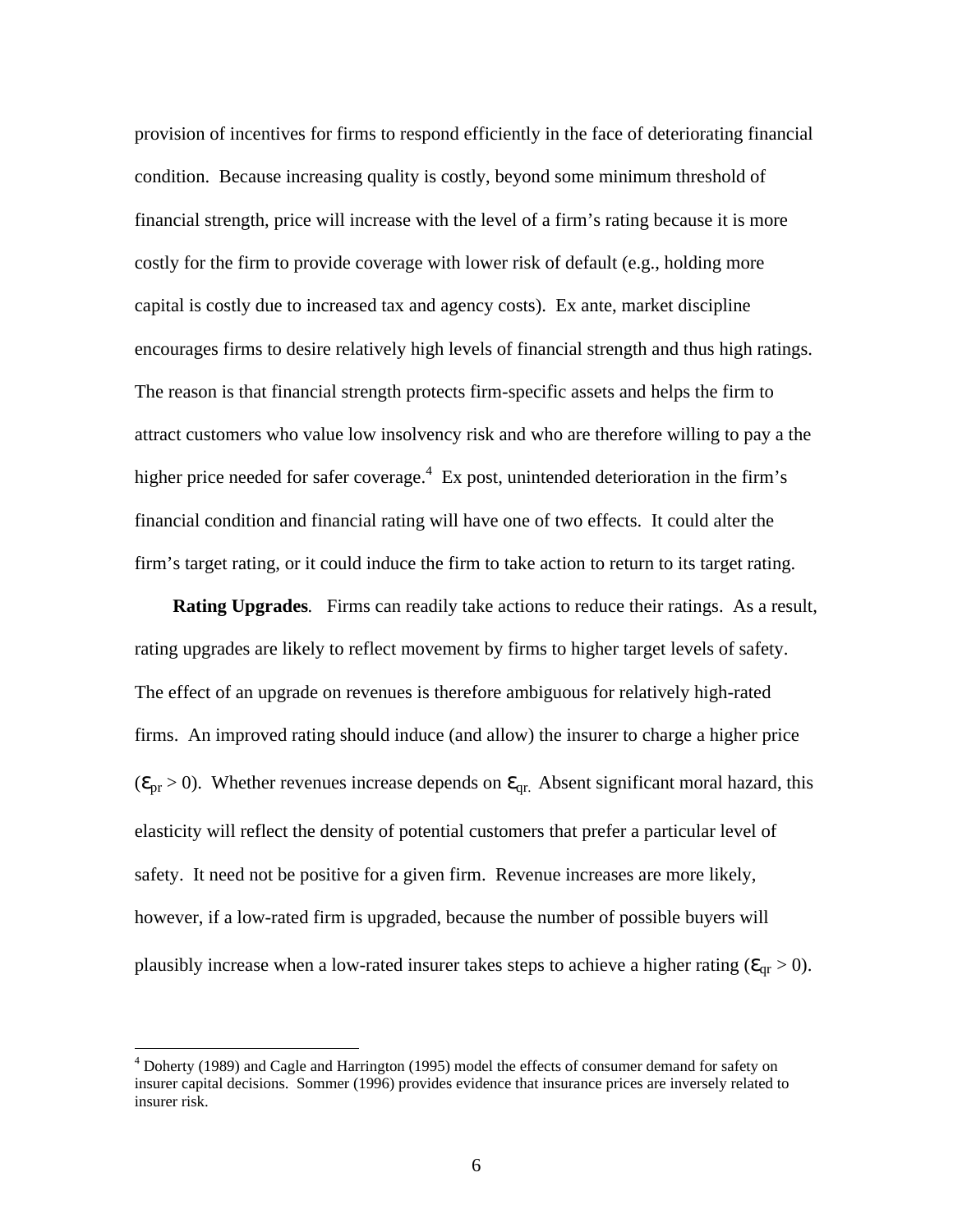provision of incentives for firms to respond efficiently in the face of deteriorating financial condition. Because increasing quality is costly, beyond some minimum threshold of financial strength, price will increase with the level of a firm's rating because it is more costly for the firm to provide coverage with lower risk of default (e.g., holding more capital is costly due to increased tax and agency costs). Ex ante, market discipline encourages firms to desire relatively high levels of financial strength and thus high ratings. The reason is that financial strength protects firm-specific assets and helps the firm to attract customers who value low insolvency risk and who are therefore willing to pay a the higher price needed for safer coverage.<sup>4</sup> Ex post, unintended deterioration in the firm's financial condition and financial rating will have one of two effects. It could alter the firm's target rating, or it could induce the firm to take action to return to its target rating.

 **Rating Upgrades***.* Firms can readily take actions to reduce their ratings. As a result, rating upgrades are likely to reflect movement by firms to higher target levels of safety. The effect of an upgrade on revenues is therefore ambiguous for relatively high-rated firms. An improved rating should induce (and allow) the insurer to charge a higher price  $(\epsilon_{pr} > 0)$ . Whether revenues increase depends on  $\epsilon_{qr}$ . Absent significant moral hazard, this elasticity will reflect the density of potential customers that prefer a particular level of safety. It need not be positive for a given firm. Revenue increases are more likely, however, if a low-rated firm is upgraded, because the number of possible buyers will plausibly increase when a low-rated insurer takes steps to achieve a higher rating ( $\epsilon_{\text{qr}} > 0$ ).

<sup>&</sup>lt;sup>4</sup> Doherty (1989) and Cagle and Harrington (1995) model the effects of consumer demand for safety on insurer capital decisions. Sommer (1996) provides evidence that insurance prices are inversely related to insurer risk.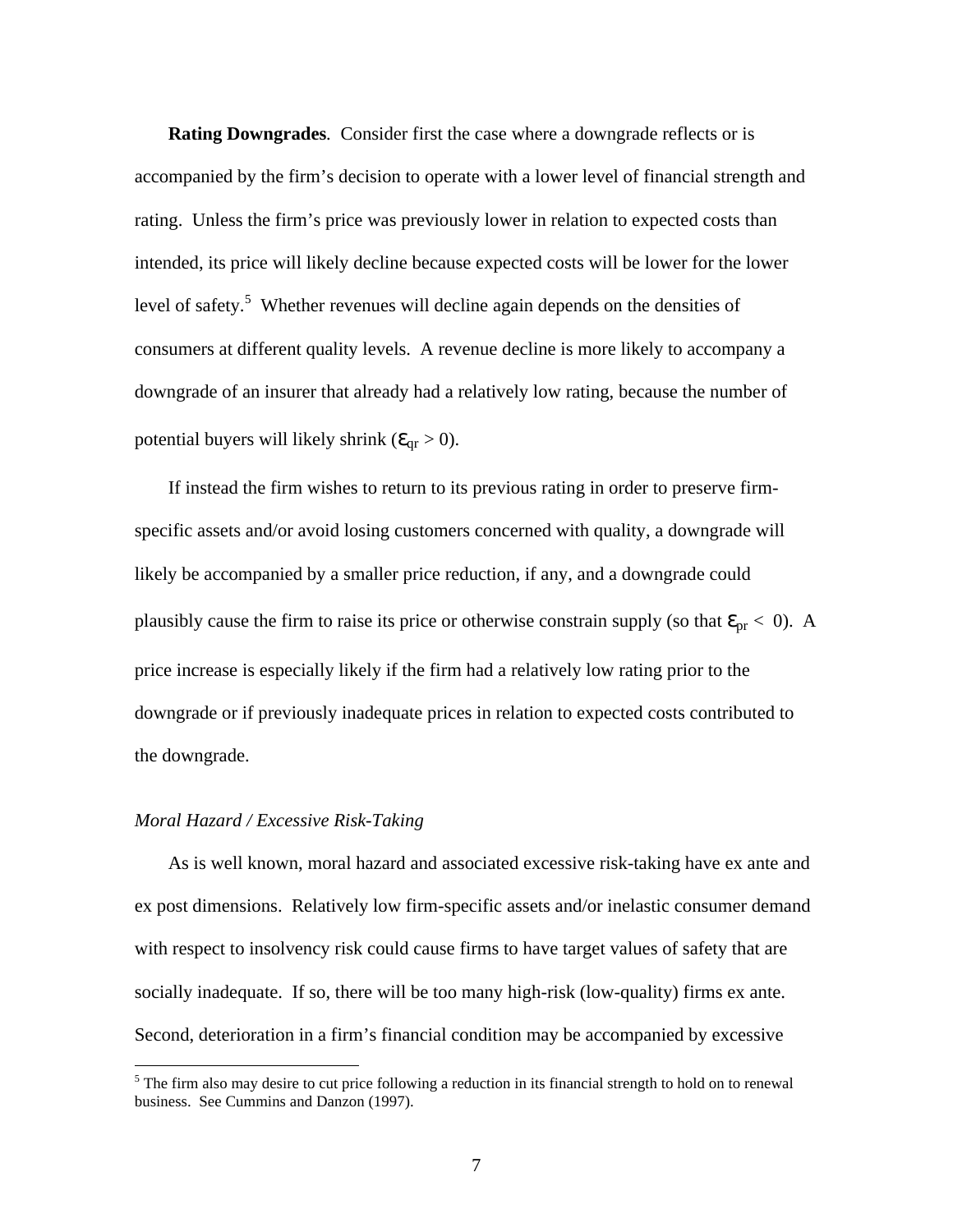**Rating Downgrades***.* Consider first the case where a downgrade reflects or is accompanied by the firm's decision to operate with a lower level of financial strength and rating. Unless the firm's price was previously lower in relation to expected costs than intended, its price will likely decline because expected costs will be lower for the lower level of safety.<sup>5</sup> Whether revenues will decline again depends on the densities of consumers at different quality levels. A revenue decline is more likely to accompany a downgrade of an insurer that already had a relatively low rating, because the number of potential buyers will likely shrink ( $\epsilon_{\text{qr}} > 0$ ).

If instead the firm wishes to return to its previous rating in order to preserve firmspecific assets and/or avoid losing customers concerned with quality, a downgrade will likely be accompanied by a smaller price reduction, if any, and a downgrade could plausibly cause the firm to raise its price or otherwise constrain supply (so that  $\epsilon_{pr}$  < 0). A price increase is especially likely if the firm had a relatively low rating prior to the downgrade or if previously inadequate prices in relation to expected costs contributed to the downgrade.

#### *Moral Hazard / Excessive Risk-Taking*

<u>.</u>

As is well known, moral hazard and associated excessive risk-taking have ex ante and ex post dimensions. Relatively low firm-specific assets and/or inelastic consumer demand with respect to insolvency risk could cause firms to have target values of safety that are socially inadequate. If so, there will be too many high-risk (low-quality) firms ex ante. Second, deterioration in a firm's financial condition may be accompanied by excessive

<sup>&</sup>lt;sup>5</sup> The firm also may desire to cut price following a reduction in its financial strength to hold on to renewal business. See Cummins and Danzon (1997).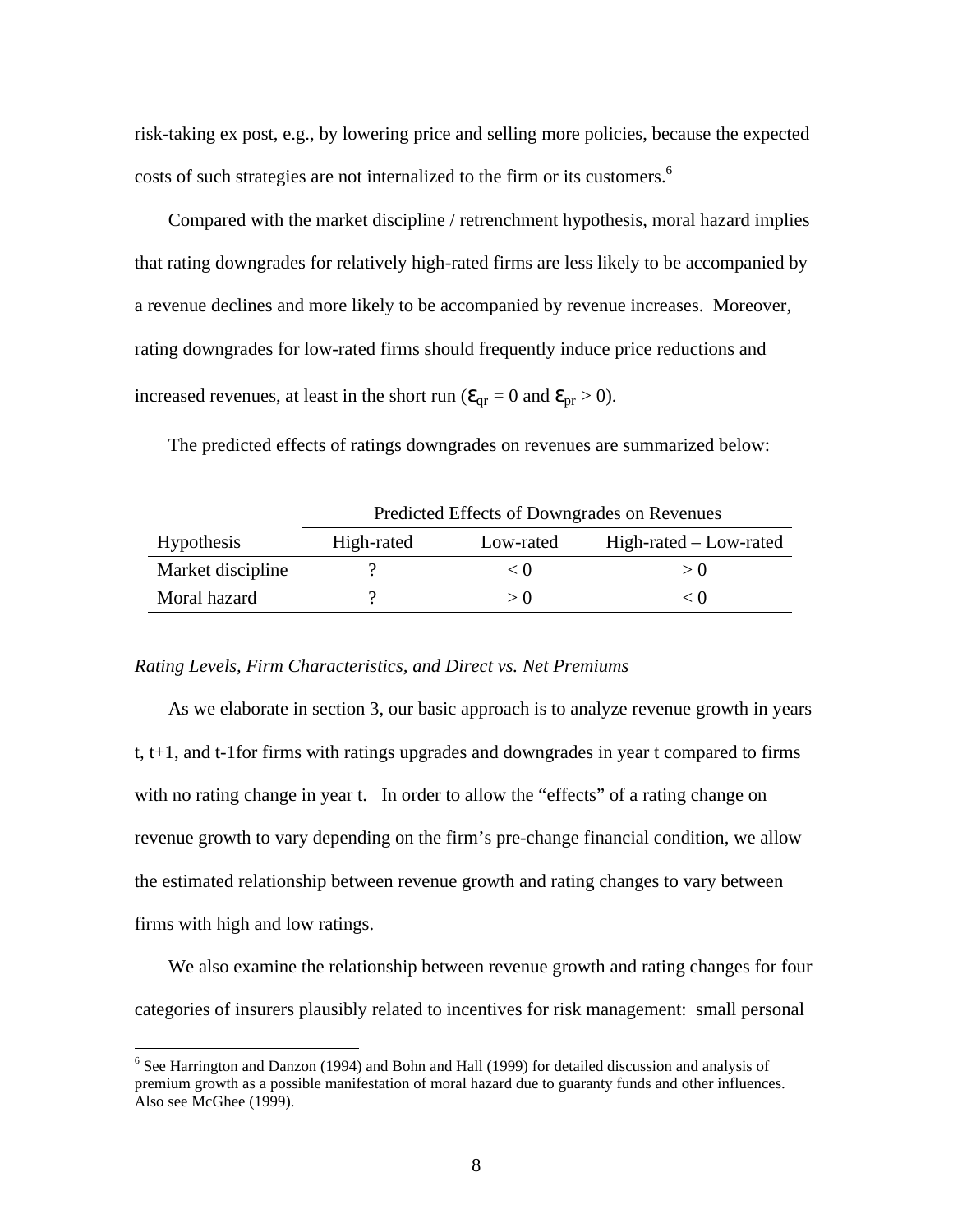risk-taking ex post, e.g., by lowering price and selling more policies, because the expected costs of such strategies are not internalized to the firm or its customers.<sup>6</sup>

Compared with the market discipline / retrenchment hypothesis, moral hazard implies that rating downgrades for relatively high-rated firms are less likely to be accompanied by a revenue declines and more likely to be accompanied by revenue increases. Moreover, rating downgrades for low-rated firms should frequently induce price reductions and increased revenues, at least in the short run ( $\epsilon_{qr} = 0$  and  $\epsilon_{pr} > 0$ ).

The predicted effects of ratings downgrades on revenues are summarized below:

|                   | Predicted Effects of Downgrades on Revenues |           |                          |  |  |  |  |  |
|-------------------|---------------------------------------------|-----------|--------------------------|--|--|--|--|--|
| <b>Hypothesis</b> | High-rated                                  | Low-rated | $High-rated - Low-rated$ |  |  |  |  |  |
| Market discipline |                                             | < ∪       | > 0                      |  |  |  |  |  |
| Moral hazard      |                                             | > 0       | ∈∪                       |  |  |  |  |  |

#### *Rating Levels, Firm Characteristics, and Direct vs. Net Premiums*

1

As we elaborate in section 3, our basic approach is to analyze revenue growth in years t, t+1, and t-1for firms with ratings upgrades and downgrades in year t compared to firms with no rating change in year t. In order to allow the "effects" of a rating change on revenue growth to vary depending on the firm's pre-change financial condition, we allow the estimated relationship between revenue growth and rating changes to vary between firms with high and low ratings.

We also examine the relationship between revenue growth and rating changes for four categories of insurers plausibly related to incentives for risk management: small personal

<sup>&</sup>lt;sup>6</sup> See Harrington and Danzon (1994) and Bohn and Hall (1999) for detailed discussion and analysis of premium growth as a possible manifestation of moral hazard due to guaranty funds and other influences. Also see McGhee (1999).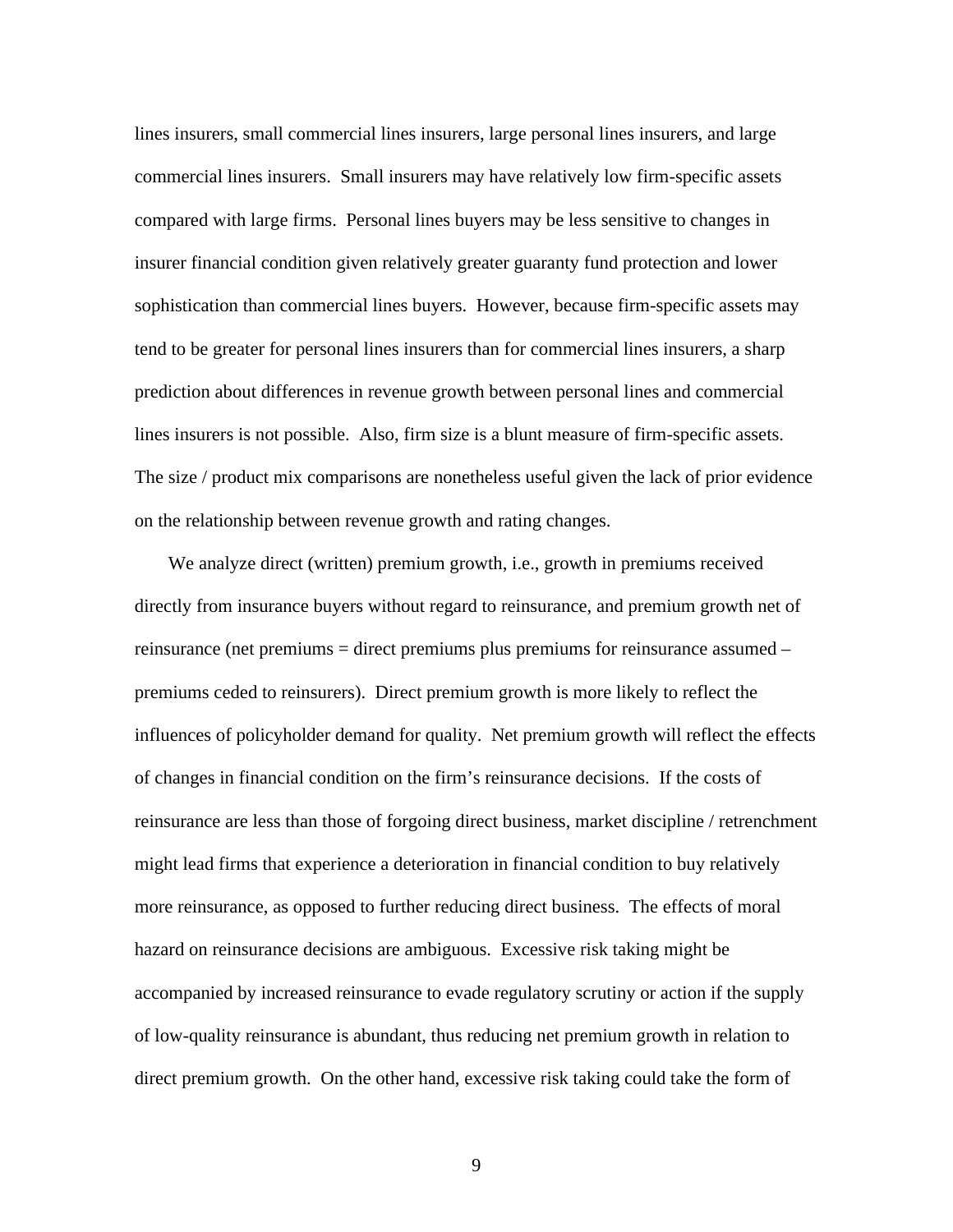lines insurers, small commercial lines insurers, large personal lines insurers, and large commercial lines insurers. Small insurers may have relatively low firm-specific assets compared with large firms. Personal lines buyers may be less sensitive to changes in insurer financial condition given relatively greater guaranty fund protection and lower sophistication than commercial lines buyers. However, because firm-specific assets may tend to be greater for personal lines insurers than for commercial lines insurers, a sharp prediction about differences in revenue growth between personal lines and commercial lines insurers is not possible. Also, firm size is a blunt measure of firm-specific assets. The size / product mix comparisons are nonetheless useful given the lack of prior evidence on the relationship between revenue growth and rating changes.

We analyze direct (written) premium growth, i.e., growth in premiums received directly from insurance buyers without regard to reinsurance, and premium growth net of reinsurance (net premiums = direct premiums plus premiums for reinsurance assumed – premiums ceded to reinsurers). Direct premium growth is more likely to reflect the influences of policyholder demand for quality. Net premium growth will reflect the effects of changes in financial condition on the firm's reinsurance decisions. If the costs of reinsurance are less than those of forgoing direct business, market discipline / retrenchment might lead firms that experience a deterioration in financial condition to buy relatively more reinsurance, as opposed to further reducing direct business. The effects of moral hazard on reinsurance decisions are ambiguous. Excessive risk taking might be accompanied by increased reinsurance to evade regulatory scrutiny or action if the supply of low-quality reinsurance is abundant, thus reducing net premium growth in relation to direct premium growth. On the other hand, excessive risk taking could take the form of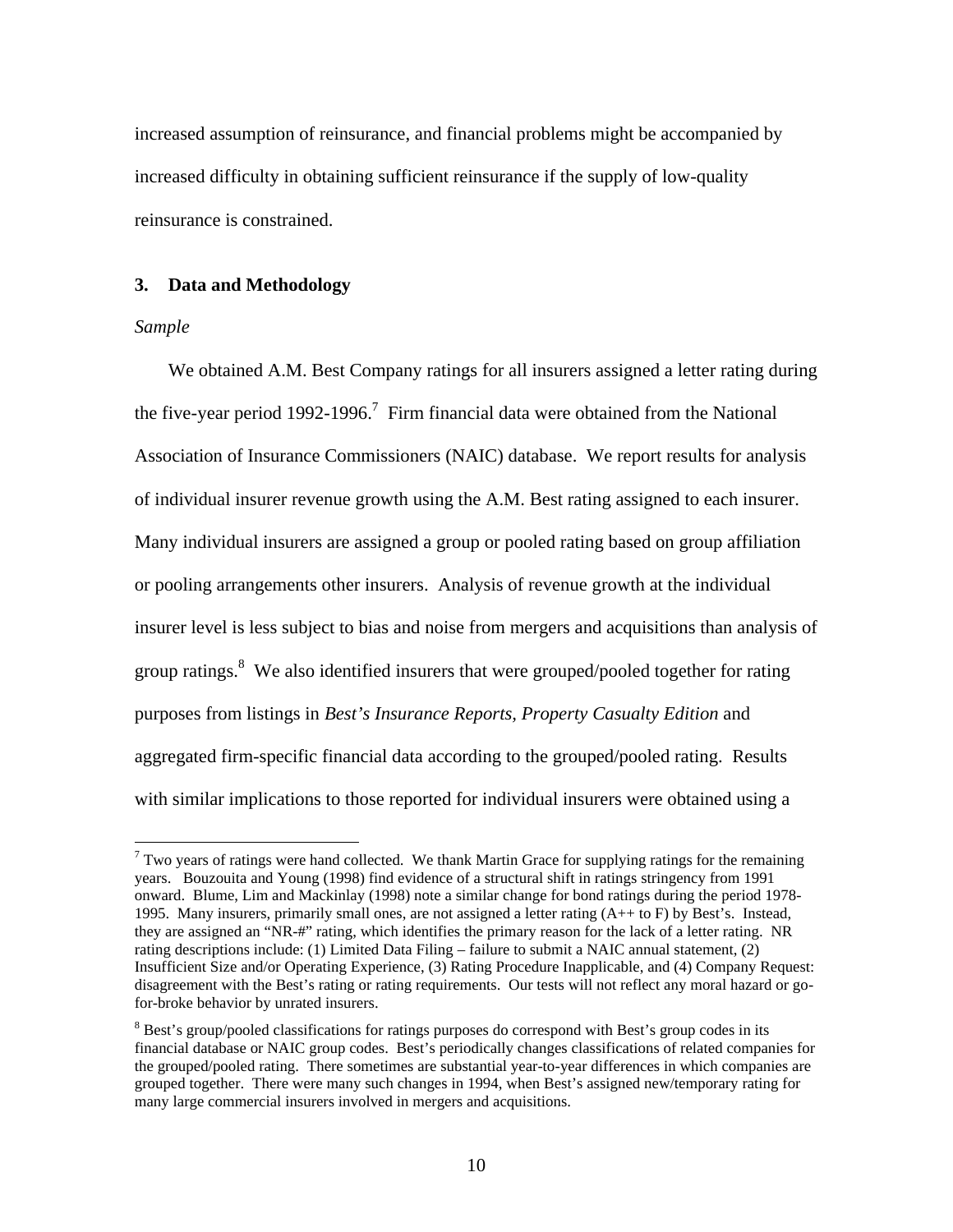increased assumption of reinsurance, and financial problems might be accompanied by increased difficulty in obtaining sufficient reinsurance if the supply of low-quality reinsurance is constrained.

#### **3. Data and Methodology**

#### *Sample*

<u>.</u>

We obtained A.M. Best Company ratings for all insurers assigned a letter rating during the five-year period 1992-1996.<sup>7</sup> Firm financial data were obtained from the National Association of Insurance Commissioners (NAIC) database. We report results for analysis of individual insurer revenue growth using the A.M. Best rating assigned to each insurer. Many individual insurers are assigned a group or pooled rating based on group affiliation or pooling arrangements other insurers. Analysis of revenue growth at the individual insurer level is less subject to bias and noise from mergers and acquisitions than analysis of group ratings.<sup>8</sup> We also identified insurers that were grouped/pooled together for rating purposes from listings in *Best's Insurance Reports, Property Casualty Edition* and aggregated firm-specific financial data according to the grouped/pooled rating. Results with similar implications to those reported for individual insurers were obtained using a

 $7$  Two years of ratings were hand collected. We thank Martin Grace for supplying ratings for the remaining years. Bouzouita and Young (1998) find evidence of a structural shift in ratings stringency from 1991 onward. Blume, Lim and Mackinlay (1998) note a similar change for bond ratings during the period 1978- 1995. Many insurers, primarily small ones, are not assigned a letter rating (A++ to F) by Best's. Instead, they are assigned an "NR-#" rating, which identifies the primary reason for the lack of a letter rating. NR rating descriptions include: (1) Limited Data Filing – failure to submit a NAIC annual statement, (2) Insufficient Size and/or Operating Experience, (3) Rating Procedure Inapplicable, and (4) Company Request: disagreement with the Best's rating or rating requirements. Our tests will not reflect any moral hazard or gofor-broke behavior by unrated insurers.

<sup>&</sup>lt;sup>8</sup> Best's group/pooled classifications for ratings purposes do correspond with Best's group codes in its financial database or NAIC group codes. Best's periodically changes classifications of related companies for the grouped/pooled rating. There sometimes are substantial year-to-year differences in which companies are grouped together. There were many such changes in 1994, when Best's assigned new/temporary rating for many large commercial insurers involved in mergers and acquisitions.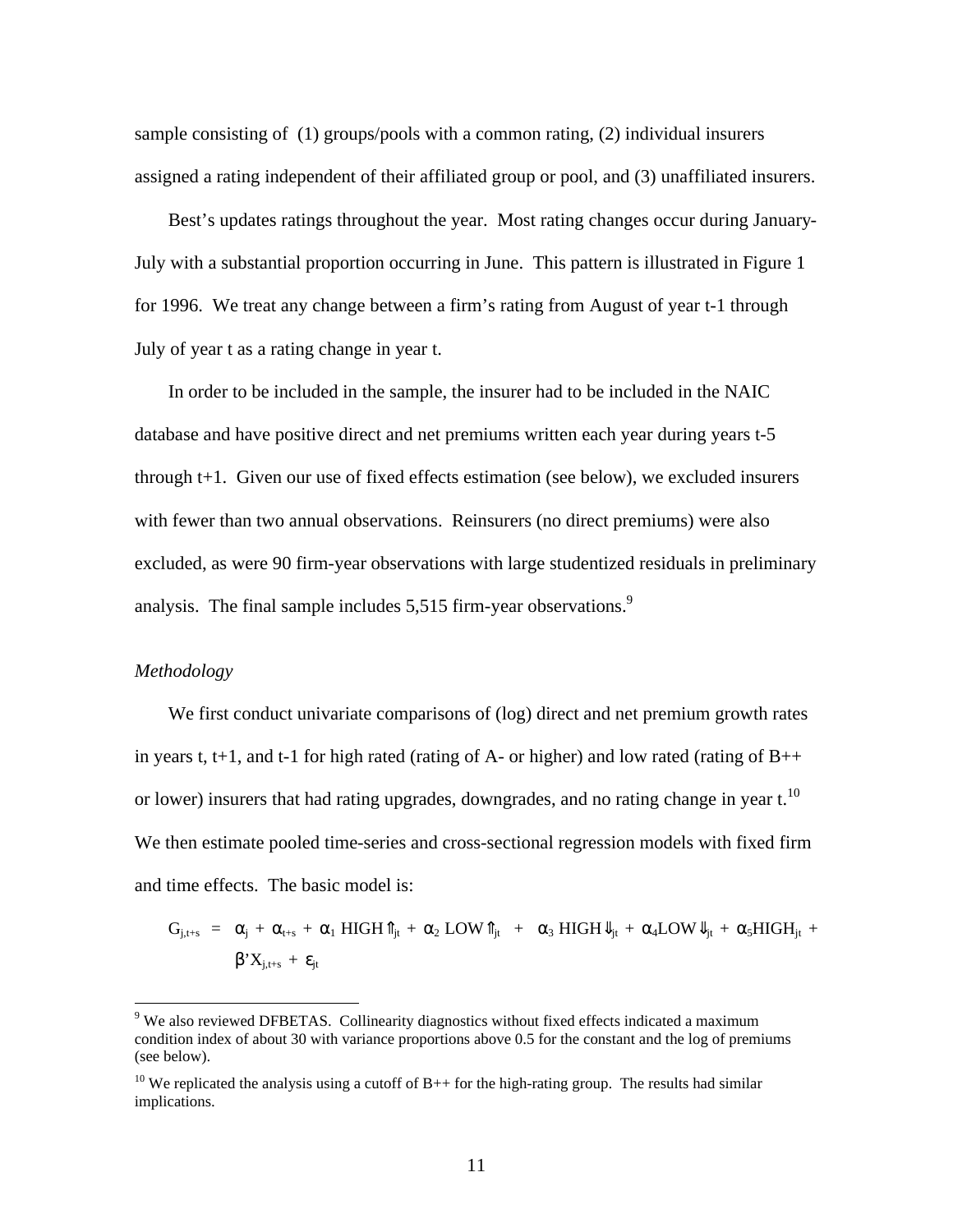sample consisting of (1) groups/pools with a common rating, (2) individual insurers assigned a rating independent of their affiliated group or pool, and (3) unaffiliated insurers.

Best's updates ratings throughout the year. Most rating changes occur during January-July with a substantial proportion occurring in June. This pattern is illustrated in Figure 1 for 1996. We treat any change between a firm's rating from August of year t-1 through July of year t as a rating change in year t.

In order to be included in the sample, the insurer had to be included in the NAIC database and have positive direct and net premiums written each year during years t-5 through t+1. Given our use of fixed effects estimation (see below), we excluded insurers with fewer than two annual observations. Reinsurers (no direct premiums) were also excluded, as were 90 firm-year observations with large studentized residuals in preliminary analysis. The final sample includes 5,515 firm-year observations.<sup>9</sup>

### *Methodology*

1

We first conduct univariate comparisons of (log) direct and net premium growth rates in years t, t+1, and t-1 for high rated (rating of A- or higher) and low rated (rating of  $B++$ or lower) insurers that had rating upgrades, downgrades, and no rating change in year  $t^{10}$ . We then estimate pooled time-series and cross-sectional regression models with fixed firm and time effects. The basic model is:

$$
G_{j,t+s} = \alpha_j + \alpha_{t+s} + \alpha_1\text{ HIGH} \hat{\mathbb{I}}_{jt} + \alpha_2 \text{LOW} \hat{\mathbb{I}}_{jt} + \alpha_3 \text{ HIGH} \hat{\mathbb{I}}_{jt} + \alpha_4 \text{LOW} \hat{\mathbb{I}}_{jt} + \alpha_5 \text{HIGH}_{jt} + \beta^* X_{j,t+s} + \epsilon_{jt}
$$

<sup>&</sup>lt;sup>9</sup> We also reviewed DFBETAS. Collinearity diagnostics without fixed effects indicated a maximum condition index of about 30 with variance proportions above 0.5 for the constant and the log of premiums (see below).

<sup>&</sup>lt;sup>10</sup> We replicated the analysis using a cutoff of B++ for the high-rating group. The results had similar implications.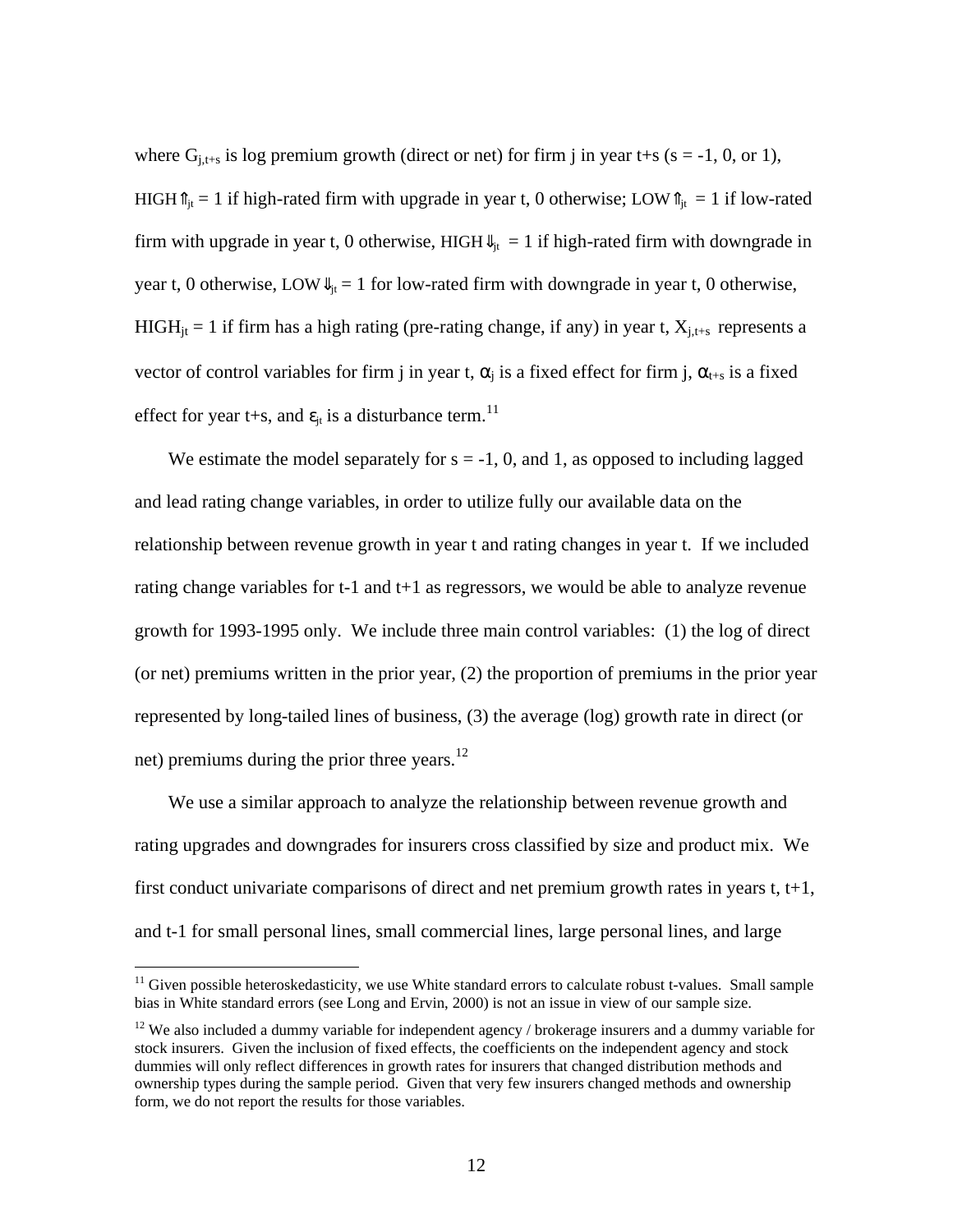where  $G_{i,t+s}$  is log premium growth (direct or net) for firm j in year t+s (s = -1, 0, or 1), HIGH $\hat{\mathbb{I}}_{it} = 1$  if high-rated firm with upgrade in year t, 0 otherwise; LOW $\hat{\mathbb{I}}_{it} = 1$  if low-rated firm with upgrade in year t, 0 otherwise, HIGH $\mathbb{U}_{it} = 1$  if high-rated firm with downgrade in year t, 0 otherwise, LOW $\Downarrow_{it} = 1$  for low-rated firm with downgrade in year t, 0 otherwise, HIGH<sub>it</sub> = 1 if firm has a high rating (pre-rating change, if any) in year t,  $X_{i,t+s}$  represents a vector of control variables for firm j in year t,  $\alpha_j$  is a fixed effect for firm j,  $\alpha_{t+s}$  is a fixed effect for year t+s, and  $\varepsilon_{it}$  is a disturbance term.<sup>11</sup>

We estimate the model separately for  $s = -1$ , 0, and 1, as opposed to including lagged and lead rating change variables, in order to utilize fully our available data on the relationship between revenue growth in year t and rating changes in year t. If we included rating change variables for t-1 and t+1 as regressors, we would be able to analyze revenue growth for 1993-1995 only. We include three main control variables: (1) the log of direct (or net) premiums written in the prior year, (2) the proportion of premiums in the prior year represented by long-tailed lines of business, (3) the average (log) growth rate in direct (or net) premiums during the prior three years. $12$ 

We use a similar approach to analyze the relationship between revenue growth and rating upgrades and downgrades for insurers cross classified by size and product mix. We first conduct univariate comparisons of direct and net premium growth rates in years t, t+1, and t-1 for small personal lines, small commercial lines, large personal lines, and large

 $11$  Given possible heteroskedasticity, we use White standard errors to calculate robust t-values. Small sample bias in White standard errors (see Long and Ervin, 2000) is not an issue in view of our sample size.

 $12$  We also included a dummy variable for independent agency / brokerage insurers and a dummy variable for stock insurers. Given the inclusion of fixed effects, the coefficients on the independent agency and stock dummies will only reflect differences in growth rates for insurers that changed distribution methods and ownership types during the sample period. Given that very few insurers changed methods and ownership form, we do not report the results for those variables.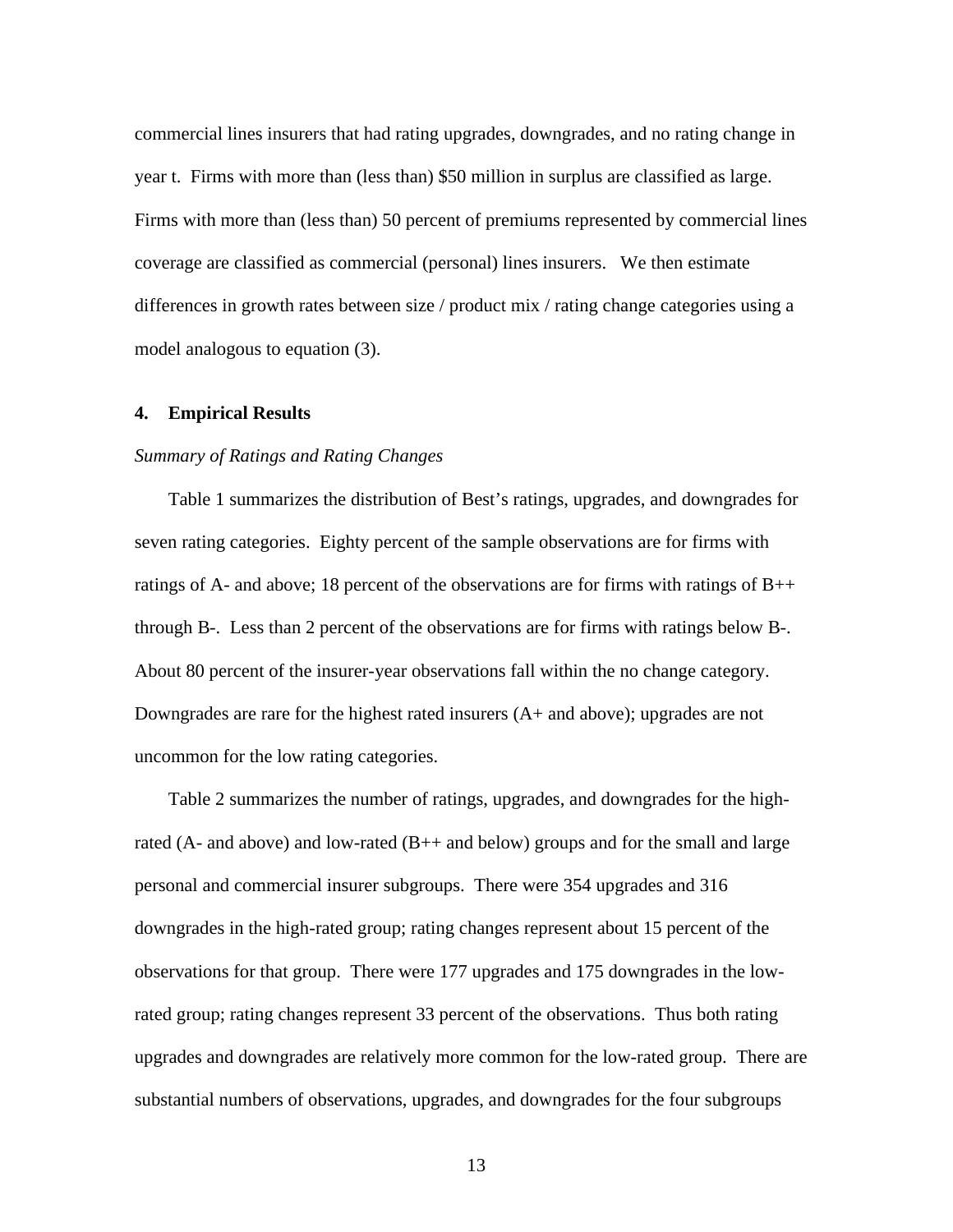commercial lines insurers that had rating upgrades, downgrades, and no rating change in year t. Firms with more than (less than) \$50 million in surplus are classified as large. Firms with more than (less than) 50 percent of premiums represented by commercial lines coverage are classified as commercial (personal) lines insurers. We then estimate differences in growth rates between size / product mix / rating change categories using a model analogous to equation (3).

### **4. Empirical Results**

#### *Summary of Ratings and Rating Changes*

Table 1 summarizes the distribution of Best's ratings, upgrades, and downgrades for seven rating categories. Eighty percent of the sample observations are for firms with ratings of A- and above; 18 percent of the observations are for firms with ratings of  $B++$ through B-. Less than 2 percent of the observations are for firms with ratings below B-. About 80 percent of the insurer-year observations fall within the no change category. Downgrades are rare for the highest rated insurers (A+ and above); upgrades are not uncommon for the low rating categories.

Table 2 summarizes the number of ratings, upgrades, and downgrades for the highrated (A- and above) and low-rated (B++ and below) groups and for the small and large personal and commercial insurer subgroups. There were 354 upgrades and 316 downgrades in the high-rated group; rating changes represent about 15 percent of the observations for that group. There were 177 upgrades and 175 downgrades in the lowrated group; rating changes represent 33 percent of the observations. Thus both rating upgrades and downgrades are relatively more common for the low-rated group. There are substantial numbers of observations, upgrades, and downgrades for the four subgroups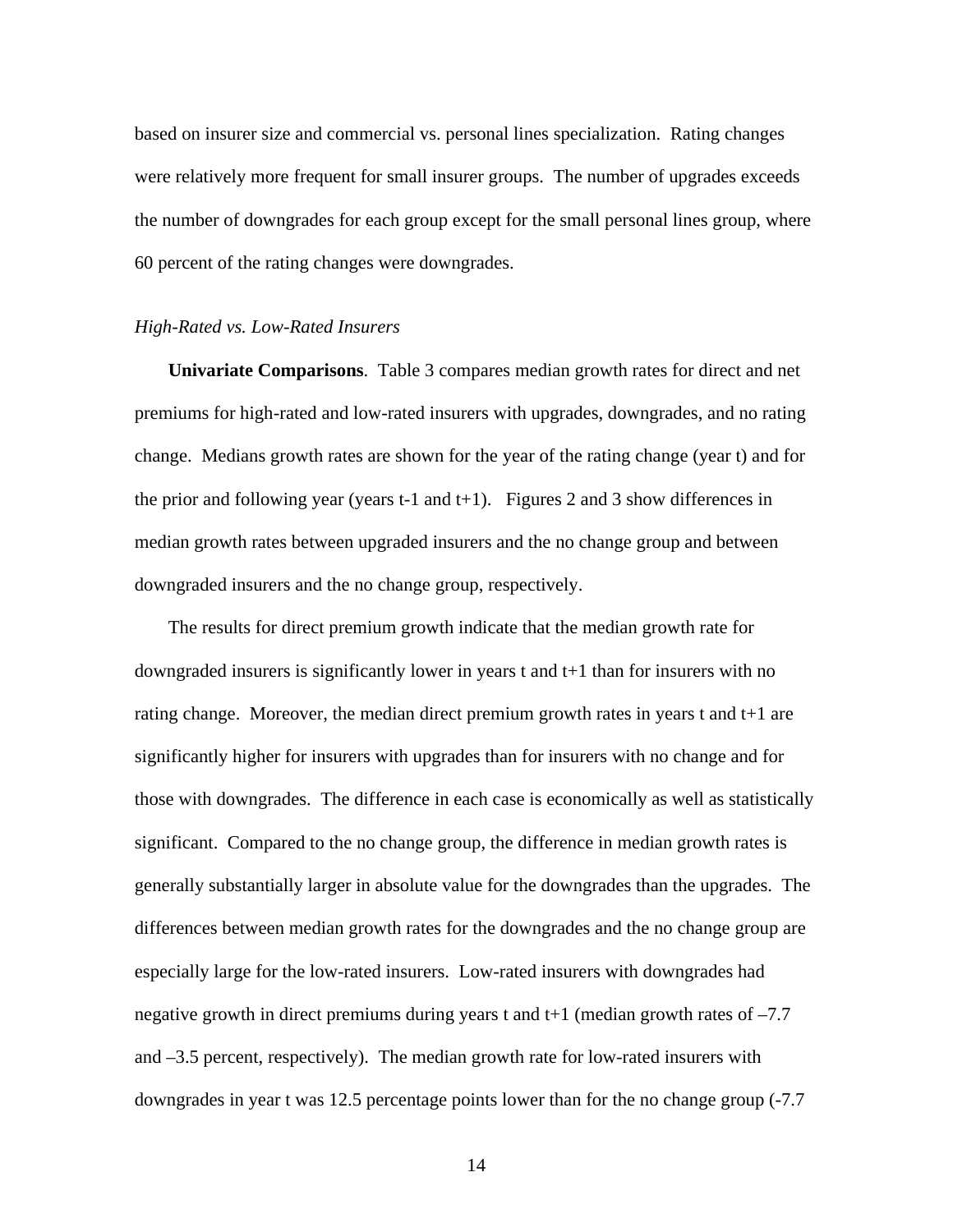based on insurer size and commercial vs. personal lines specialization. Rating changes were relatively more frequent for small insurer groups. The number of upgrades exceeds the number of downgrades for each group except for the small personal lines group, where 60 percent of the rating changes were downgrades.

#### *High-Rated vs. Low-Rated Insurers*

**Univariate Comparisons**. Table 3 compares median growth rates for direct and net premiums for high-rated and low-rated insurers with upgrades, downgrades, and no rating change. Medians growth rates are shown for the year of the rating change (year t) and for the prior and following year (years t-1 and t+1). Figures 2 and 3 show differences in median growth rates between upgraded insurers and the no change group and between downgraded insurers and the no change group, respectively.

The results for direct premium growth indicate that the median growth rate for downgraded insurers is significantly lower in years t and t+1 than for insurers with no rating change. Moreover, the median direct premium growth rates in years t and t+1 are significantly higher for insurers with upgrades than for insurers with no change and for those with downgrades. The difference in each case is economically as well as statistically significant. Compared to the no change group, the difference in median growth rates is generally substantially larger in absolute value for the downgrades than the upgrades. The differences between median growth rates for the downgrades and the no change group are especially large for the low-rated insurers. Low-rated insurers with downgrades had negative growth in direct premiums during years t and t+1 (median growth rates of –7.7 and –3.5 percent, respectively). The median growth rate for low-rated insurers with downgrades in year t was 12.5 percentage points lower than for the no change group (-7.7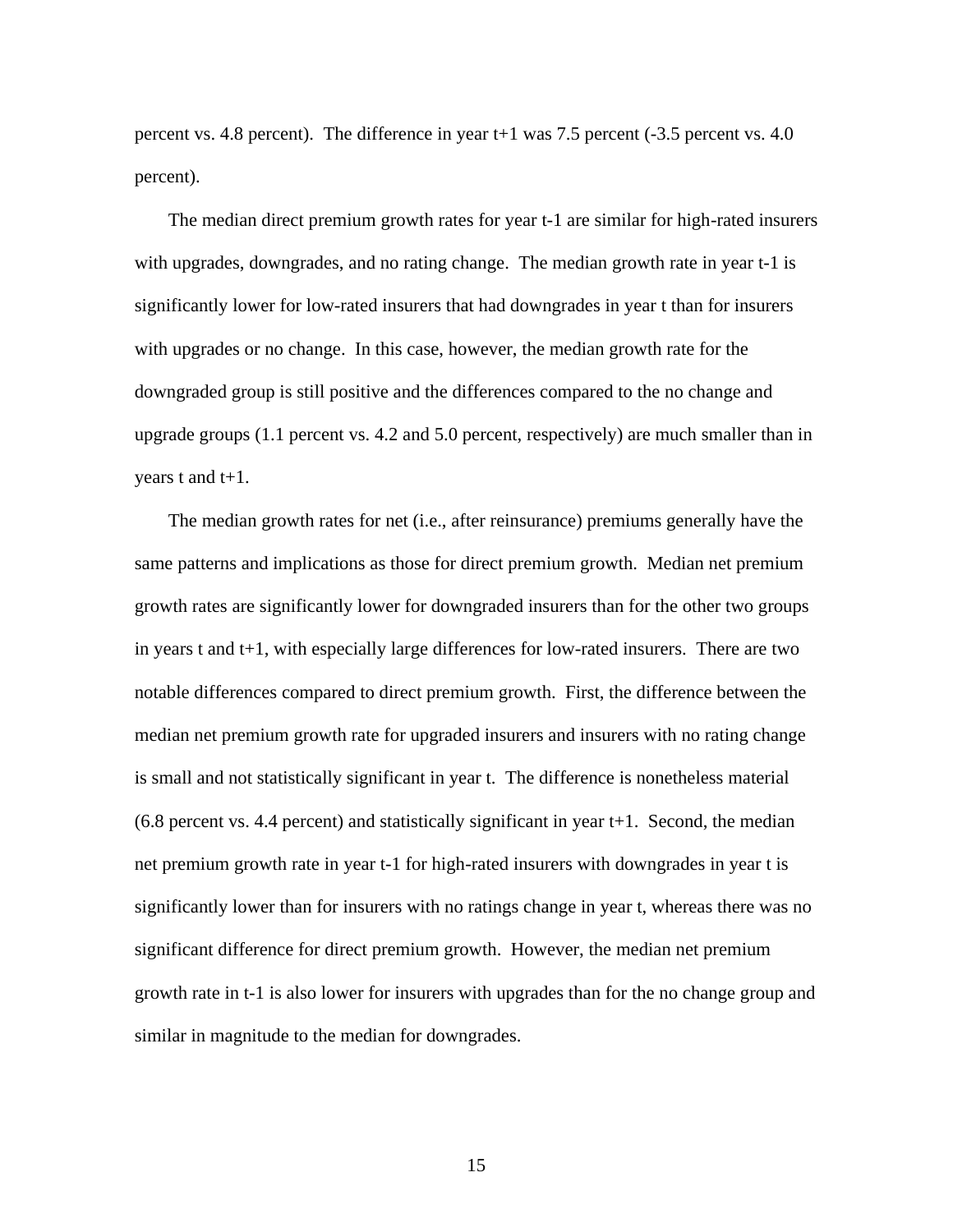percent vs. 4.8 percent). The difference in year t+1 was 7.5 percent (-3.5 percent vs. 4.0 percent).

The median direct premium growth rates for year t-1 are similar for high-rated insurers with upgrades, downgrades, and no rating change. The median growth rate in year t-1 is significantly lower for low-rated insurers that had downgrades in year t than for insurers with upgrades or no change. In this case, however, the median growth rate for the downgraded group is still positive and the differences compared to the no change and upgrade groups (1.1 percent vs. 4.2 and 5.0 percent, respectively) are much smaller than in years t and t+1.

The median growth rates for net (i.e., after reinsurance) premiums generally have the same patterns and implications as those for direct premium growth. Median net premium growth rates are significantly lower for downgraded insurers than for the other two groups in years t and t+1, with especially large differences for low-rated insurers. There are two notable differences compared to direct premium growth. First, the difference between the median net premium growth rate for upgraded insurers and insurers with no rating change is small and not statistically significant in year t. The difference is nonetheless material (6.8 percent vs. 4.4 percent) and statistically significant in year t+1. Second, the median net premium growth rate in year t-1 for high-rated insurers with downgrades in year t is significantly lower than for insurers with no ratings change in year t, whereas there was no significant difference for direct premium growth. However, the median net premium growth rate in t-1 is also lower for insurers with upgrades than for the no change group and similar in magnitude to the median for downgrades.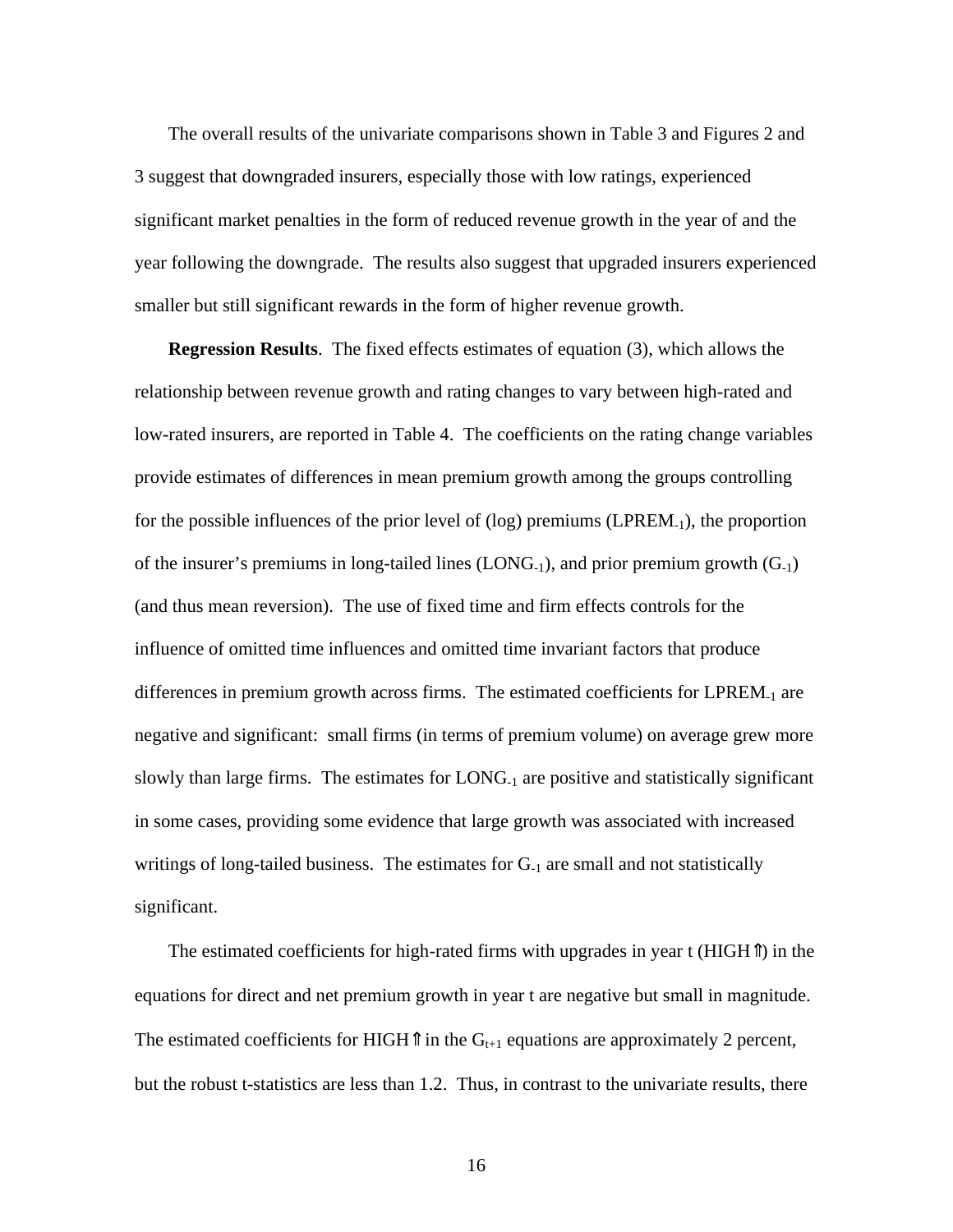The overall results of the univariate comparisons shown in Table 3 and Figures 2 and 3 suggest that downgraded insurers, especially those with low ratings, experienced significant market penalties in the form of reduced revenue growth in the year of and the year following the downgrade. The results also suggest that upgraded insurers experienced smaller but still significant rewards in the form of higher revenue growth.

**Regression Results**. The fixed effects estimates of equation (3), which allows the relationship between revenue growth and rating changes to vary between high-rated and low-rated insurers, are reported in Table 4. The coefficients on the rating change variables provide estimates of differences in mean premium growth among the groups controlling for the possible influences of the prior level of  $(log)$  premiums (LPREM<sub>-1</sub>), the proportion of the insurer's premiums in long-tailed lines  $(LONG_{-1})$ , and prior premium growth  $(G_{-1})$ (and thus mean reversion). The use of fixed time and firm effects controls for the influence of omitted time influences and omitted time invariant factors that produce differences in premium growth across firms. The estimated coefficients for LPREM-1 are negative and significant: small firms (in terms of premium volume) on average grew more slowly than large firms. The estimates for LONG-1 are positive and statistically significant in some cases, providing some evidence that large growth was associated with increased writings of long-tailed business. The estimates for  $G<sub>-1</sub>$  are small and not statistically significant.

The estimated coefficients for high-rated firms with upgrades in year t (HIGH<sup>n</sup>) in the equations for direct and net premium growth in year t are negative but small in magnitude. The estimated coefficients for HIGH $\parallel$  in the G<sub>t+1</sub> equations are approximately 2 percent, but the robust t-statistics are less than 1.2. Thus, in contrast to the univariate results, there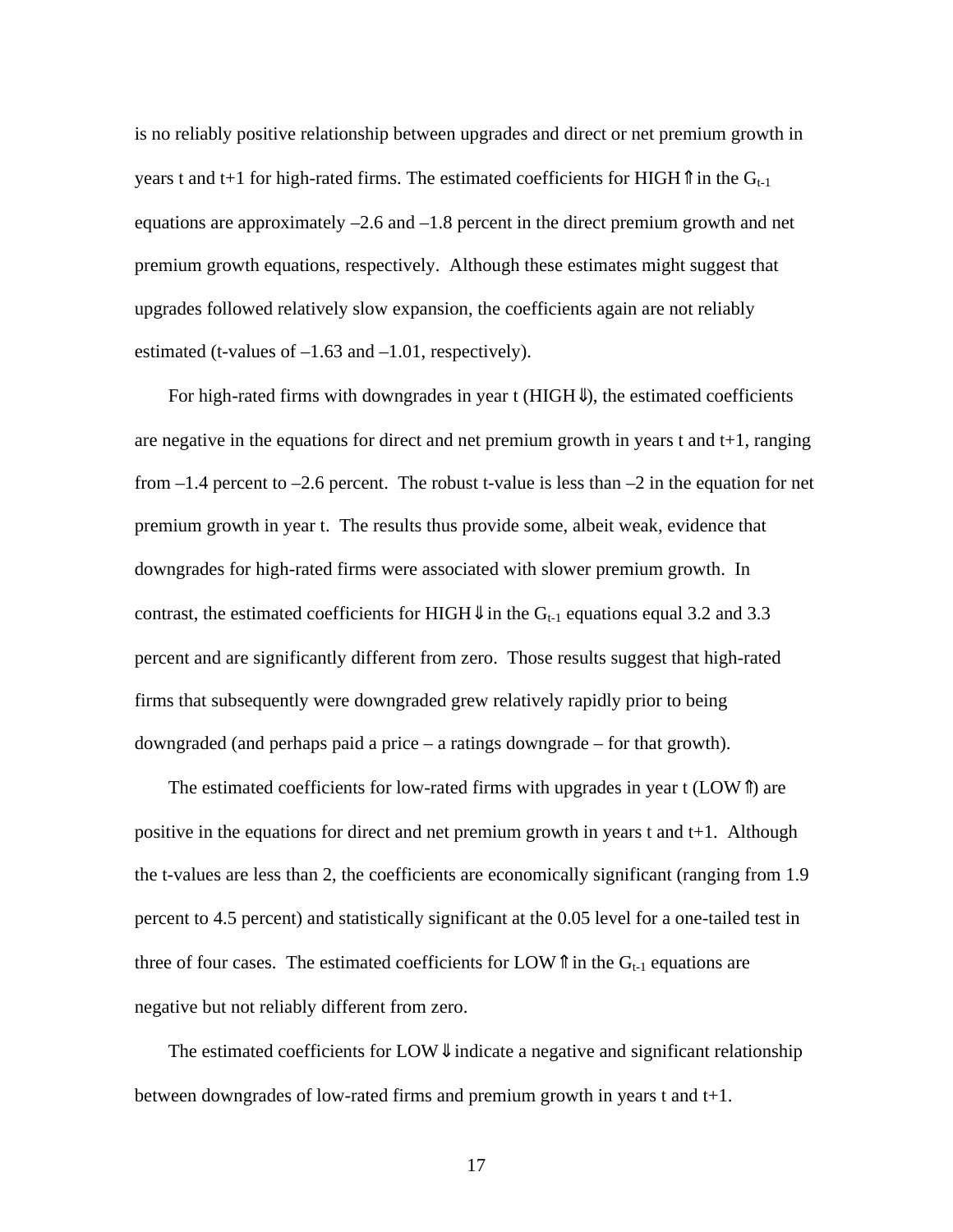is no reliably positive relationship between upgrades and direct or net premium growth in years t and t+1 for high-rated firms. The estimated coefficients for HIGH $\hat{\mathbb{I}}$  in the G<sub>t-1</sub> equations are approximately –2.6 and –1.8 percent in the direct premium growth and net premium growth equations, respectively. Although these estimates might suggest that upgrades followed relatively slow expansion, the coefficients again are not reliably estimated (t-values of  $-1.63$  and  $-1.01$ , respectively).

For high-rated firms with downgrades in year t ( $H I GH$ ), the estimated coefficients are negative in the equations for direct and net premium growth in years t and  $t+1$ , ranging from  $-1.4$  percent to  $-2.6$  percent. The robust t-value is less than  $-2$  in the equation for net premium growth in year t. The results thus provide some, albeit weak, evidence that downgrades for high-rated firms were associated with slower premium growth. In contrast, the estimated coefficients for HIGH $\Downarrow$  in the G<sub>t-1</sub> equations equal 3.2 and 3.3 percent and are significantly different from zero. Those results suggest that high-rated firms that subsequently were downgraded grew relatively rapidly prior to being downgraded (and perhaps paid a price – a ratings downgrade – for that growth).

The estimated coefficients for low-rated firms with upgrades in year t (LOW⇑) are positive in the equations for direct and net premium growth in years t and t+1. Although the t-values are less than 2, the coefficients are economically significant (ranging from 1.9 percent to 4.5 percent) and statistically significant at the 0.05 level for a one-tailed test in three of four cases. The estimated coefficients for LOW $\hat{\mathbb{I}}$  in the G<sub>t-1</sub> equations are negative but not reliably different from zero.

The estimated coefficients for LOW $\Downarrow$  indicate a negative and significant relationship between downgrades of low-rated firms and premium growth in years t and t+1.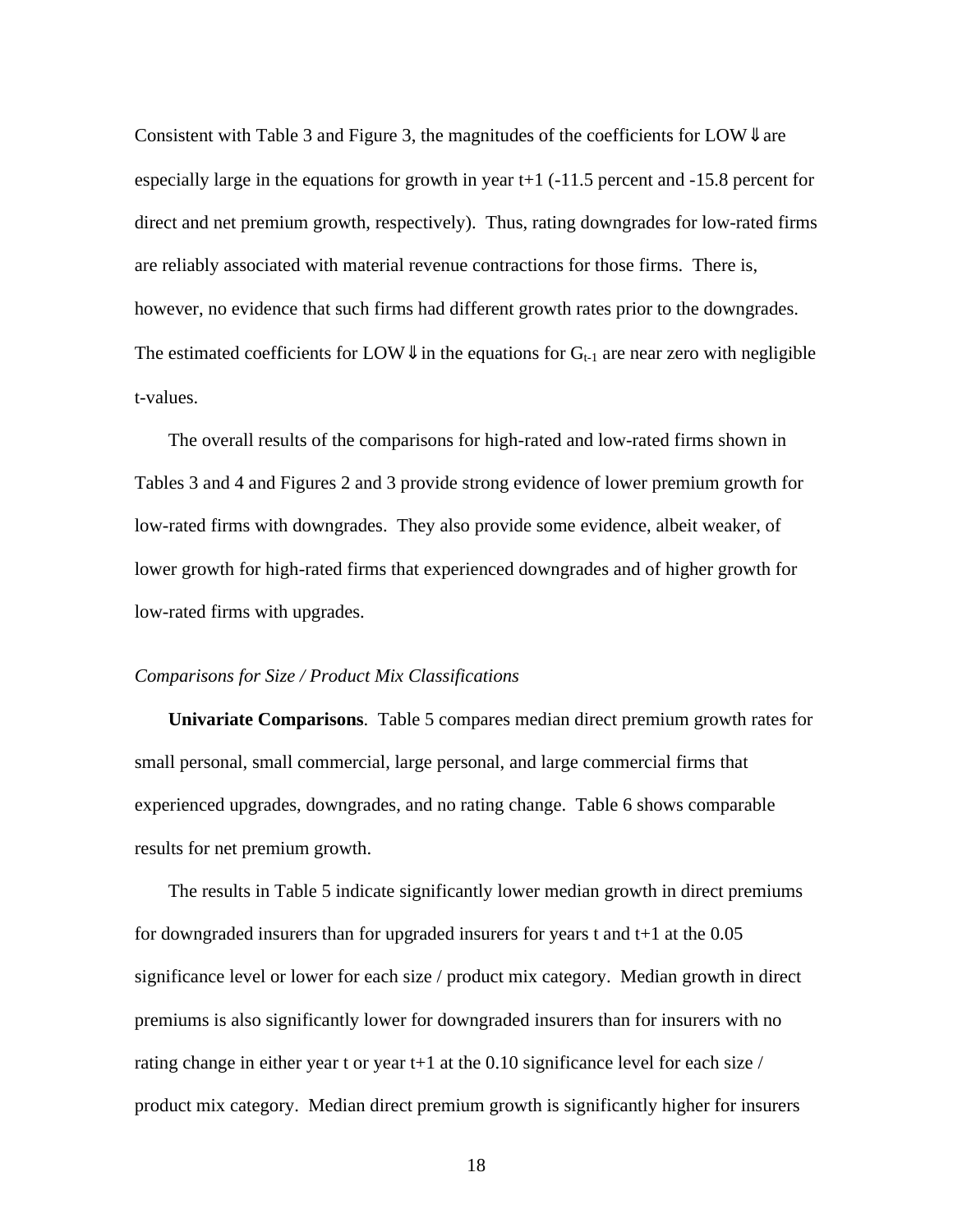Consistent with Table 3 and Figure 3, the magnitudes of the coefficients for LOW $\Downarrow$  are especially large in the equations for growth in year t+1 (-11.5 percent and -15.8 percent for direct and net premium growth, respectively). Thus, rating downgrades for low-rated firms are reliably associated with material revenue contractions for those firms. There is, however, no evidence that such firms had different growth rates prior to the downgrades. The estimated coefficients for LOW $\Downarrow$  in the equations for  $G_{t-1}$  are near zero with negligible t-values.

The overall results of the comparisons for high-rated and low-rated firms shown in Tables 3 and 4 and Figures 2 and 3 provide strong evidence of lower premium growth for low-rated firms with downgrades. They also provide some evidence, albeit weaker, of lower growth for high-rated firms that experienced downgrades and of higher growth for low-rated firms with upgrades.

#### *Comparisons for Size / Product Mix Classifications*

**Univariate Comparisons**. Table 5 compares median direct premium growth rates for small personal, small commercial, large personal, and large commercial firms that experienced upgrades, downgrades, and no rating change. Table 6 shows comparable results for net premium growth.

The results in Table 5 indicate significantly lower median growth in direct premiums for downgraded insurers than for upgraded insurers for years t and t+1 at the 0.05 significance level or lower for each size / product mix category. Median growth in direct premiums is also significantly lower for downgraded insurers than for insurers with no rating change in either year t or year t+1 at the 0.10 significance level for each size / product mix category. Median direct premium growth is significantly higher for insurers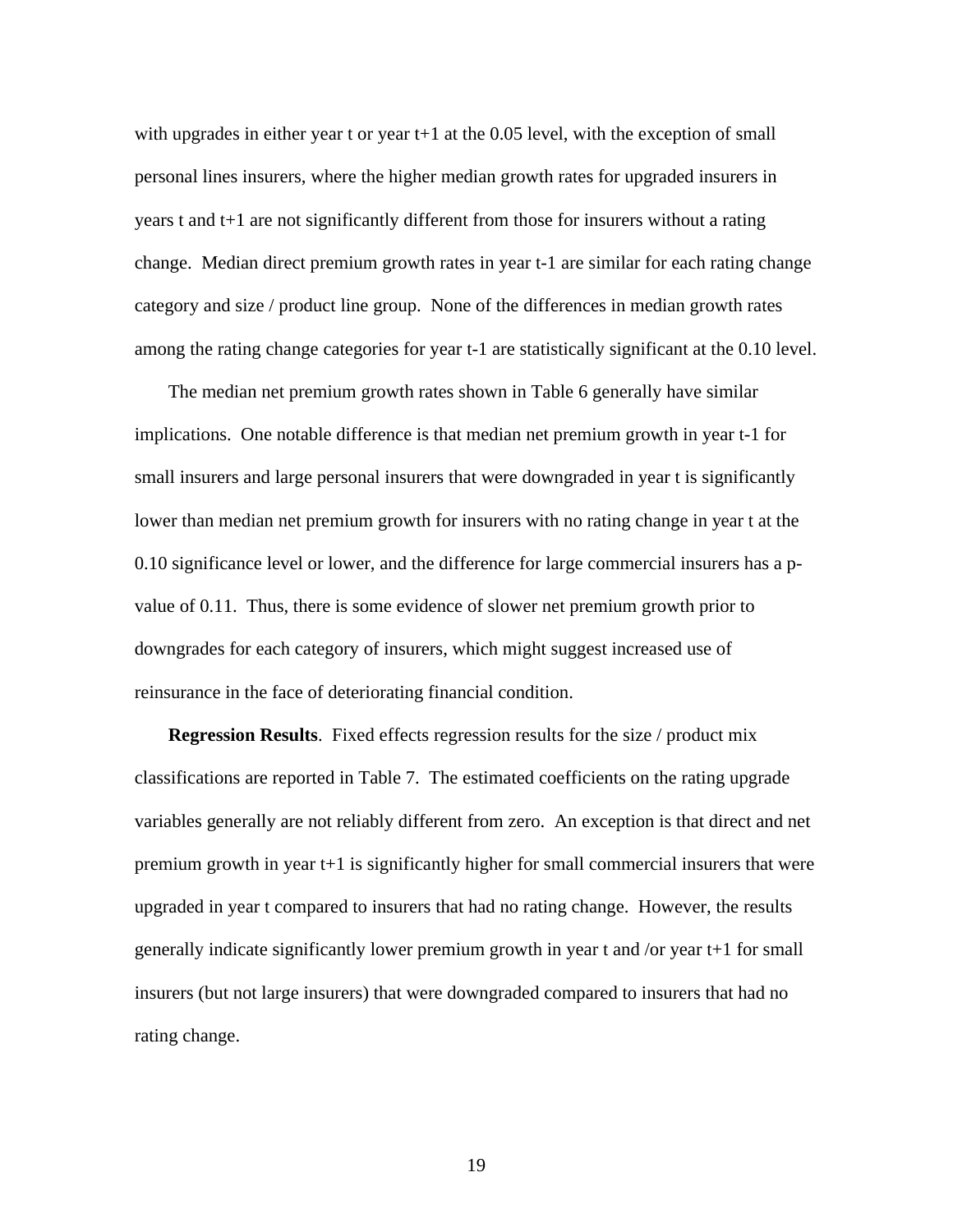with upgrades in either year t or year  $t+1$  at the 0.05 level, with the exception of small personal lines insurers, where the higher median growth rates for upgraded insurers in years t and t+1 are not significantly different from those for insurers without a rating change. Median direct premium growth rates in year t-1 are similar for each rating change category and size / product line group. None of the differences in median growth rates among the rating change categories for year t-1 are statistically significant at the 0.10 level.

The median net premium growth rates shown in Table 6 generally have similar implications. One notable difference is that median net premium growth in year t-1 for small insurers and large personal insurers that were downgraded in year t is significantly lower than median net premium growth for insurers with no rating change in year t at the 0.10 significance level or lower, and the difference for large commercial insurers has a pvalue of 0.11. Thus, there is some evidence of slower net premium growth prior to downgrades for each category of insurers, which might suggest increased use of reinsurance in the face of deteriorating financial condition.

**Regression Results**. Fixed effects regression results for the size / product mix classifications are reported in Table 7. The estimated coefficients on the rating upgrade variables generally are not reliably different from zero. An exception is that direct and net premium growth in year t+1 is significantly higher for small commercial insurers that were upgraded in year t compared to insurers that had no rating change. However, the results generally indicate significantly lower premium growth in year t and /or year t+1 for small insurers (but not large insurers) that were downgraded compared to insurers that had no rating change.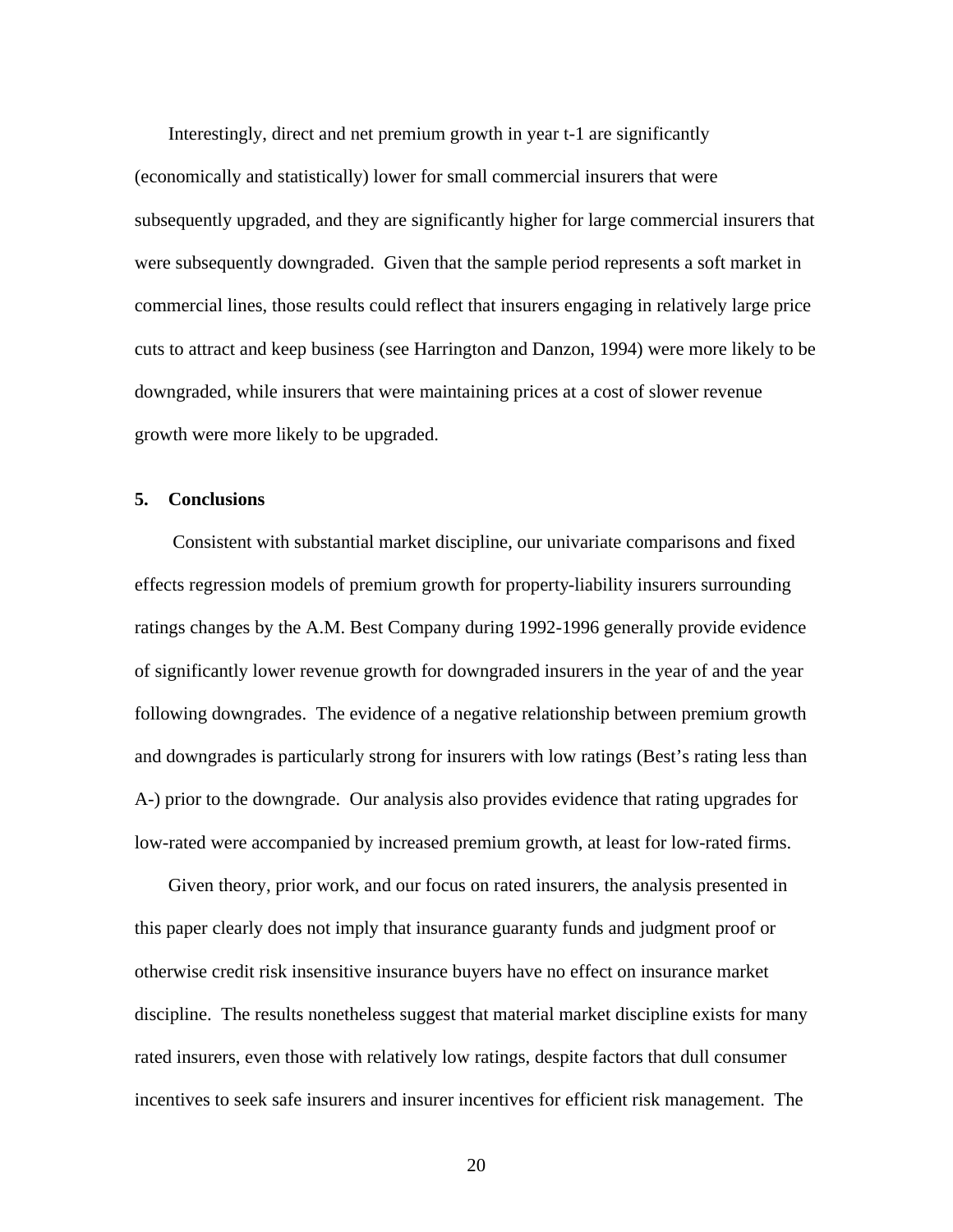Interestingly, direct and net premium growth in year t-1 are significantly (economically and statistically) lower for small commercial insurers that were subsequently upgraded, and they are significantly higher for large commercial insurers that were subsequently downgraded. Given that the sample period represents a soft market in commercial lines, those results could reflect that insurers engaging in relatively large price cuts to attract and keep business (see Harrington and Danzon, 1994) were more likely to be downgraded, while insurers that were maintaining prices at a cost of slower revenue growth were more likely to be upgraded.

### **5. Conclusions**

 Consistent with substantial market discipline, our univariate comparisons and fixed effects regression models of premium growth for property-liability insurers surrounding ratings changes by the A.M. Best Company during 1992-1996 generally provide evidence of significantly lower revenue growth for downgraded insurers in the year of and the year following downgrades. The evidence of a negative relationship between premium growth and downgrades is particularly strong for insurers with low ratings (Best's rating less than A-) prior to the downgrade. Our analysis also provides evidence that rating upgrades for low-rated were accompanied by increased premium growth, at least for low-rated firms.

Given theory, prior work, and our focus on rated insurers, the analysis presented in this paper clearly does not imply that insurance guaranty funds and judgment proof or otherwise credit risk insensitive insurance buyers have no effect on insurance market discipline. The results nonetheless suggest that material market discipline exists for many rated insurers, even those with relatively low ratings, despite factors that dull consumer incentives to seek safe insurers and insurer incentives for efficient risk management. The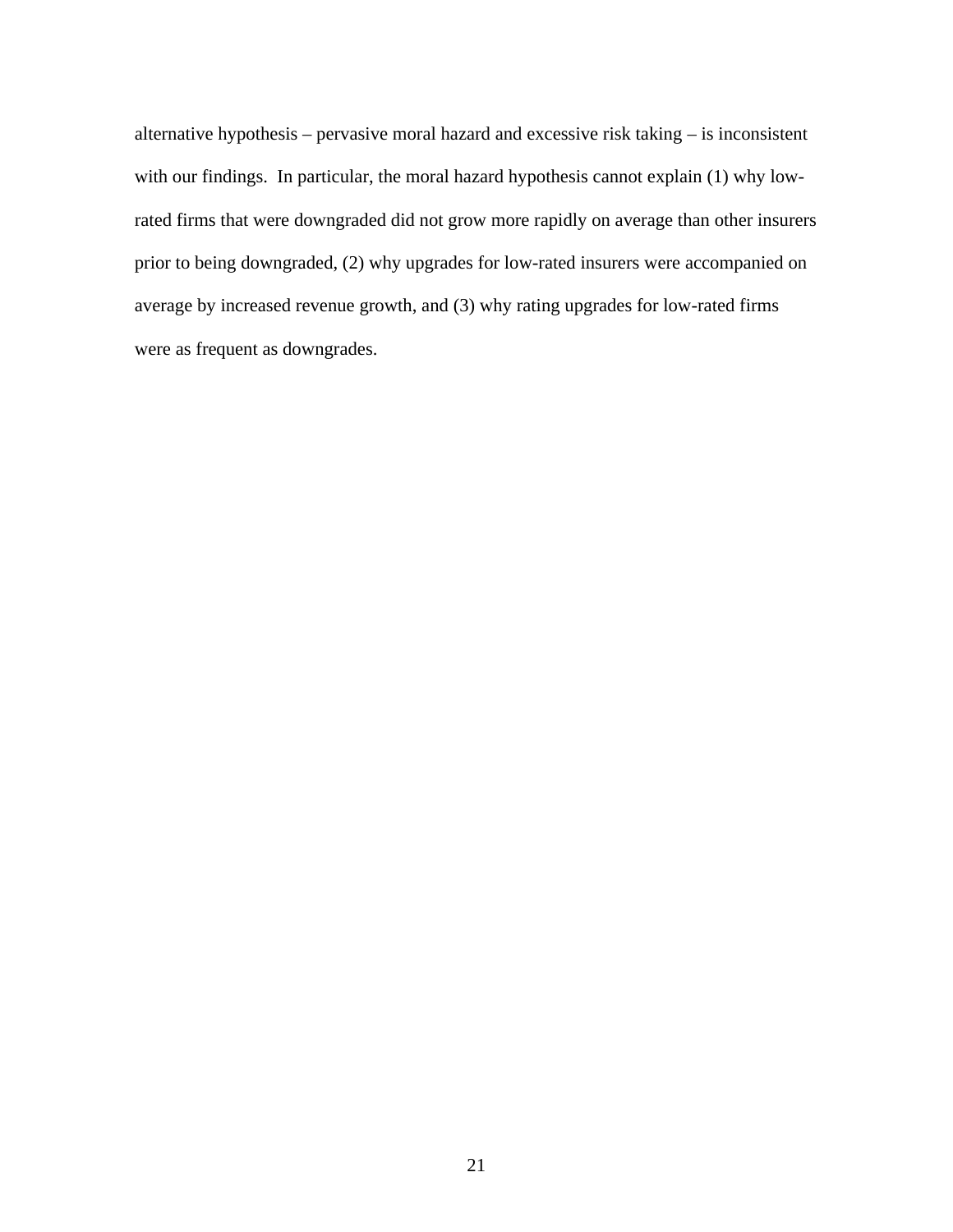alternative hypothesis – pervasive moral hazard and excessive risk taking – is inconsistent with our findings. In particular, the moral hazard hypothesis cannot explain (1) why lowrated firms that were downgraded did not grow more rapidly on average than other insurers prior to being downgraded, (2) why upgrades for low-rated insurers were accompanied on average by increased revenue growth, and (3) why rating upgrades for low-rated firms were as frequent as downgrades.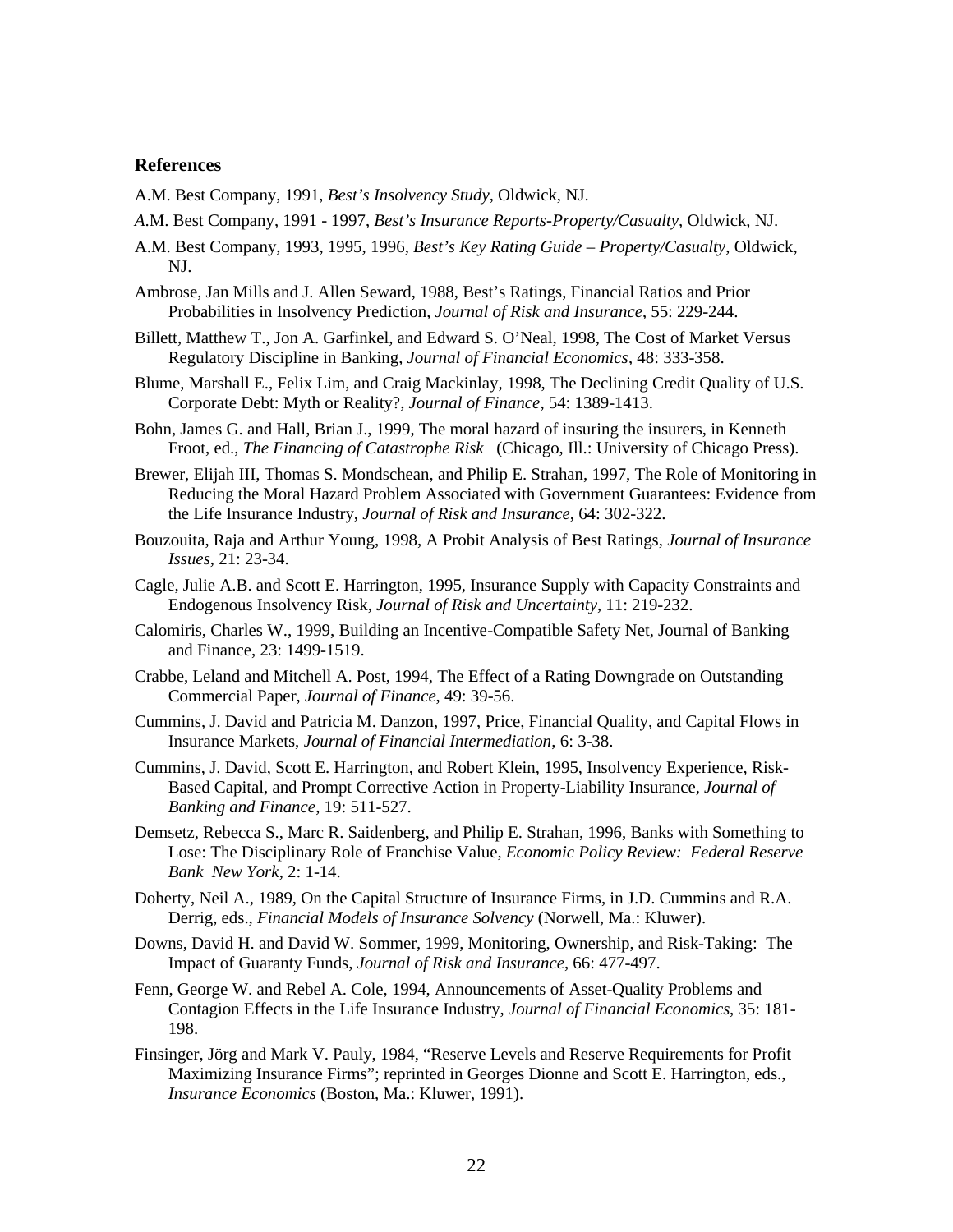#### **References**

- A.M. Best Company, 1991, *Best's Insolvency Study,* Oldwick, NJ.
- *A*.M. Best Company, 1991 1997, *Best's Insurance Reports-Property/Casualty,* Oldwick, NJ.
- A.M. Best Company, 1993, 1995, 1996, *Best's Key Rating Guide Property/Casualty*, Oldwick, NJ.
- Ambrose, Jan Mills and J. Allen Seward, 1988, Best's Ratings, Financial Ratios and Prior Probabilities in Insolvency Prediction, *Journal of Risk and Insurance*, 55: 229-244.
- Billett, Matthew T., Jon A. Garfinkel, and Edward S. O'Neal, 1998, The Cost of Market Versus Regulatory Discipline in Banking, *Journal of Financial Economics*, 48: 333-358.
- Blume, Marshall E., Felix Lim, and Craig Mackinlay, 1998, The Declining Credit Quality of U.S. Corporate Debt: Myth or Reality?, *Journal of Finance*, 54: 1389-1413.
- Bohn, James G. and Hall, Brian J., 1999, The moral hazard of insuring the insurers, in Kenneth Froot, ed., *The Financing of Catastrophe Risk* (Chicago, Ill.: University of Chicago Press).
- Brewer, Elijah III, Thomas S. Mondschean, and Philip E. Strahan, 1997, The Role of Monitoring in Reducing the Moral Hazard Problem Associated with Government Guarantees: Evidence from the Life Insurance Industry, *Journal of Risk and Insurance*, 64: 302-322.
- Bouzouita, Raja and Arthur Young, 1998, A Probit Analysis of Best Ratings, *Journal of Insurance Issues*, 21: 23-34.
- Cagle, Julie A.B. and Scott E. Harrington, 1995, Insurance Supply with Capacity Constraints and Endogenous Insolvency Risk, *Journal of Risk and Uncertainty*, 11: 219-232.
- Calomiris, Charles W., 1999, Building an Incentive-Compatible Safety Net, Journal of Banking and Finance, 23: 1499-1519.
- Crabbe, Leland and Mitchell A. Post, 1994, The Effect of a Rating Downgrade on Outstanding Commercial Paper, *Journal of Finance*, 49: 39-56.
- Cummins, J. David and Patricia M. Danzon, 1997, Price, Financial Quality, and Capital Flows in Insurance Markets, *Journal of Financial Intermediation*, 6: 3-38.
- Cummins, J. David, Scott E. Harrington, and Robert Klein, 1995, Insolvency Experience, Risk-Based Capital, and Prompt Corrective Action in Property-Liability Insurance*, Journal of Banking and Finance*, 19: 511-527.
- Demsetz, Rebecca S., Marc R. Saidenberg, and Philip E. Strahan, 1996, Banks with Something to Lose: The Disciplinary Role of Franchise Value, *Economic Policy Review: Federal Reserve Bank New York*, 2: 1-14.
- Doherty, Neil A., 1989, On the Capital Structure of Insurance Firms, in J.D. Cummins and R.A. Derrig, eds., *Financial Models of Insurance Solvency* (Norwell, Ma.: Kluwer).
- Downs, David H. and David W. Sommer, 1999, Monitoring, Ownership, and Risk-Taking: The Impact of Guaranty Funds, *Journal of Risk and Insurance*, 66: 477-497.
- Fenn, George W. and Rebel A. Cole, 1994, Announcements of Asset-Quality Problems and Contagion Effects in the Life Insurance Industry, *Journal of Financial Economics*, 35: 181- 198.
- Finsinger, Jörg and Mark V. Pauly, 1984, "Reserve Levels and Reserve Requirements for Profit Maximizing Insurance Firms"; reprinted in Georges Dionne and Scott E. Harrington, eds., *Insurance Economics* (Boston, Ma.: Kluwer, 1991).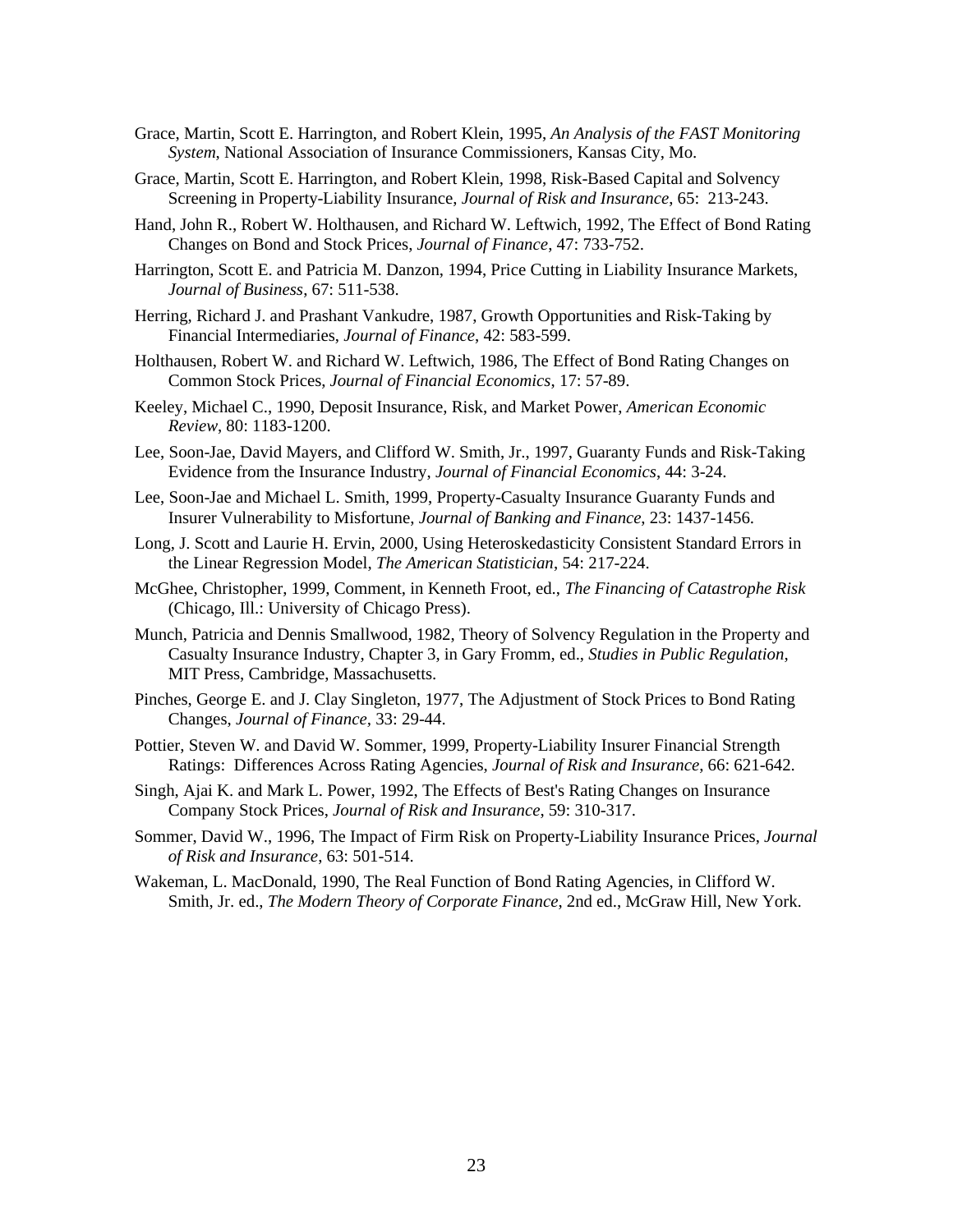- Grace, Martin, Scott E. Harrington, and Robert Klein, 1995, *An Analysis of the FAST Monitoring System*, National Association of Insurance Commissioners, Kansas City, Mo.
- Grace, Martin, Scott E. Harrington, and Robert Klein, 1998, Risk-Based Capital and Solvency Screening in Property-Liability Insurance, *Journal of Risk and Insurance*, 65: 213-243.
- Hand, John R., Robert W. Holthausen, and Richard W. Leftwich, 1992, The Effect of Bond Rating Changes on Bond and Stock Prices, *Journal of Finance*, 47: 733-752.
- Harrington, Scott E. and Patricia M. Danzon, 1994, Price Cutting in Liability Insurance Markets, *Journal of Business*, 67: 511-538.
- Herring, Richard J. and Prashant Vankudre, 1987, Growth Opportunities and Risk-Taking by Financial Intermediaries, *Journal of Finance*, 42: 583-599.
- Holthausen, Robert W. and Richard W. Leftwich, 1986, The Effect of Bond Rating Changes on Common Stock Prices, *Journal of Financial Economics*, 17: 57-89.
- Keeley, Michael C., 1990, Deposit Insurance, Risk, and Market Power, *American Economic Review*, 80: 1183-1200.
- Lee, Soon-Jae, David Mayers, and Clifford W. Smith, Jr., 1997, Guaranty Funds and Risk-Taking Evidence from the Insurance Industry, *Journal of Financial Economics*, 44: 3-24.
- Lee, Soon-Jae and Michael L. Smith, 1999, Property-Casualty Insurance Guaranty Funds and Insurer Vulnerability to Misfortune, *Journal of Banking and Finance*, 23: 1437-1456.
- Long, J. Scott and Laurie H. Ervin, 2000, Using Heteroskedasticity Consistent Standard Errors in the Linear Regression Model, *The American Statistician*, 54: 217-224.
- McGhee, Christopher, 1999, Comment, in Kenneth Froot, ed., *The Financing of Catastrophe Risk*  (Chicago, Ill.: University of Chicago Press).
- Munch, Patricia and Dennis Smallwood, 1982, Theory of Solvency Regulation in the Property and Casualty Insurance Industry, Chapter 3, in Gary Fromm, ed., *Studies in Public Regulation*, MIT Press, Cambridge, Massachusetts.
- Pinches, George E. and J. Clay Singleton, 1977, The Adjustment of Stock Prices to Bond Rating Changes, *Journal of Finance,* 33: 29-44.
- Pottier, Steven W. and David W. Sommer, 1999, Property-Liability Insurer Financial Strength Ratings: Differences Across Rating Agencies, *Journal of Risk and Insurance*, 66: 621-642.
- Singh, Ajai K. and Mark L. Power, 1992, The Effects of Best's Rating Changes on Insurance Company Stock Prices, *Journal of Risk and Insurance*, 59: 310-317.
- Sommer, David W., 1996, The Impact of Firm Risk on Property-Liability Insurance Prices, *Journal of Risk and Insurance*, 63: 501-514.
- Wakeman, L. MacDonald, 1990, The Real Function of Bond Rating Agencies, in Clifford W. Smith, Jr. ed., *The Modern Theory of Corporate Finance*, 2nd ed., McGraw Hill, New York.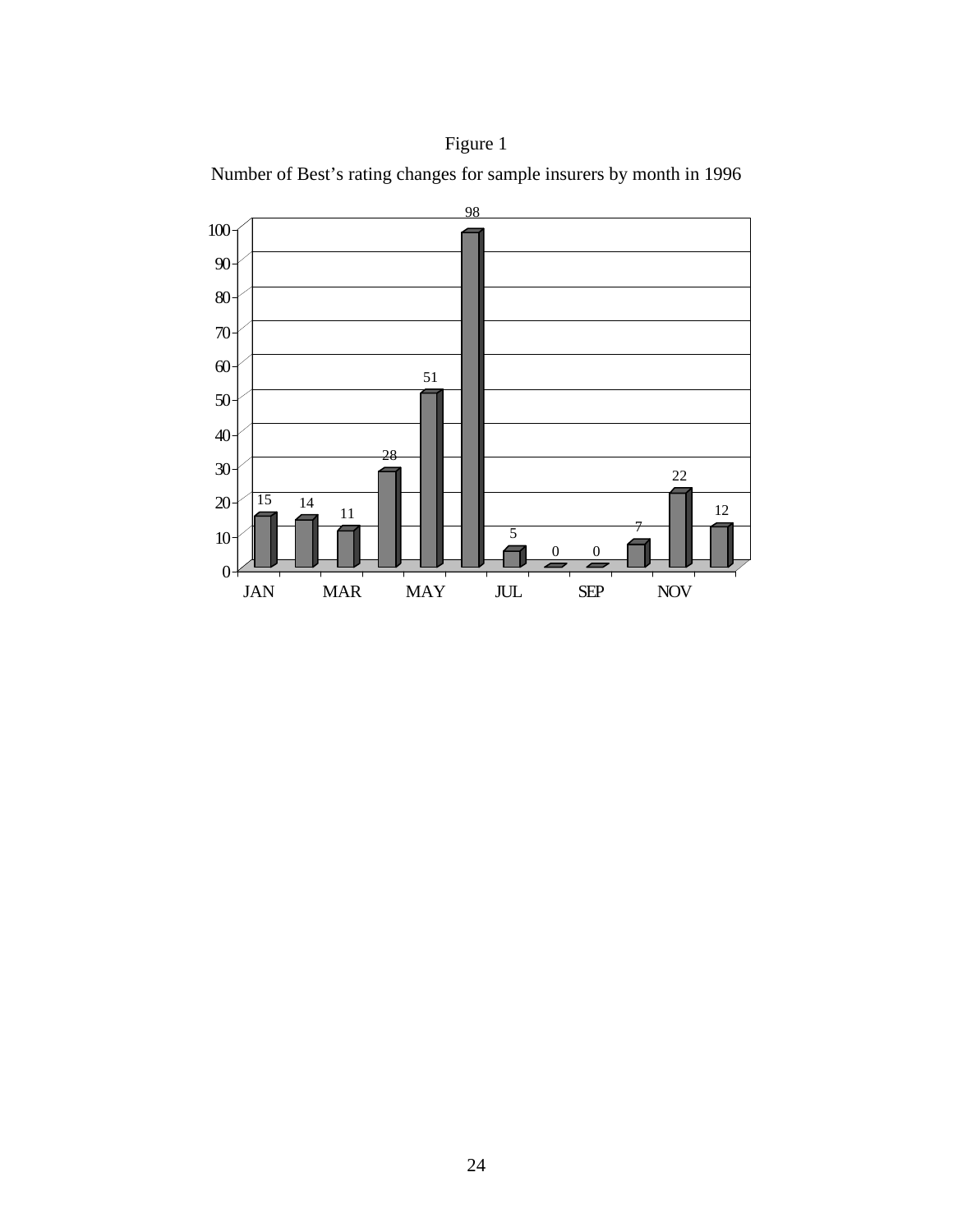



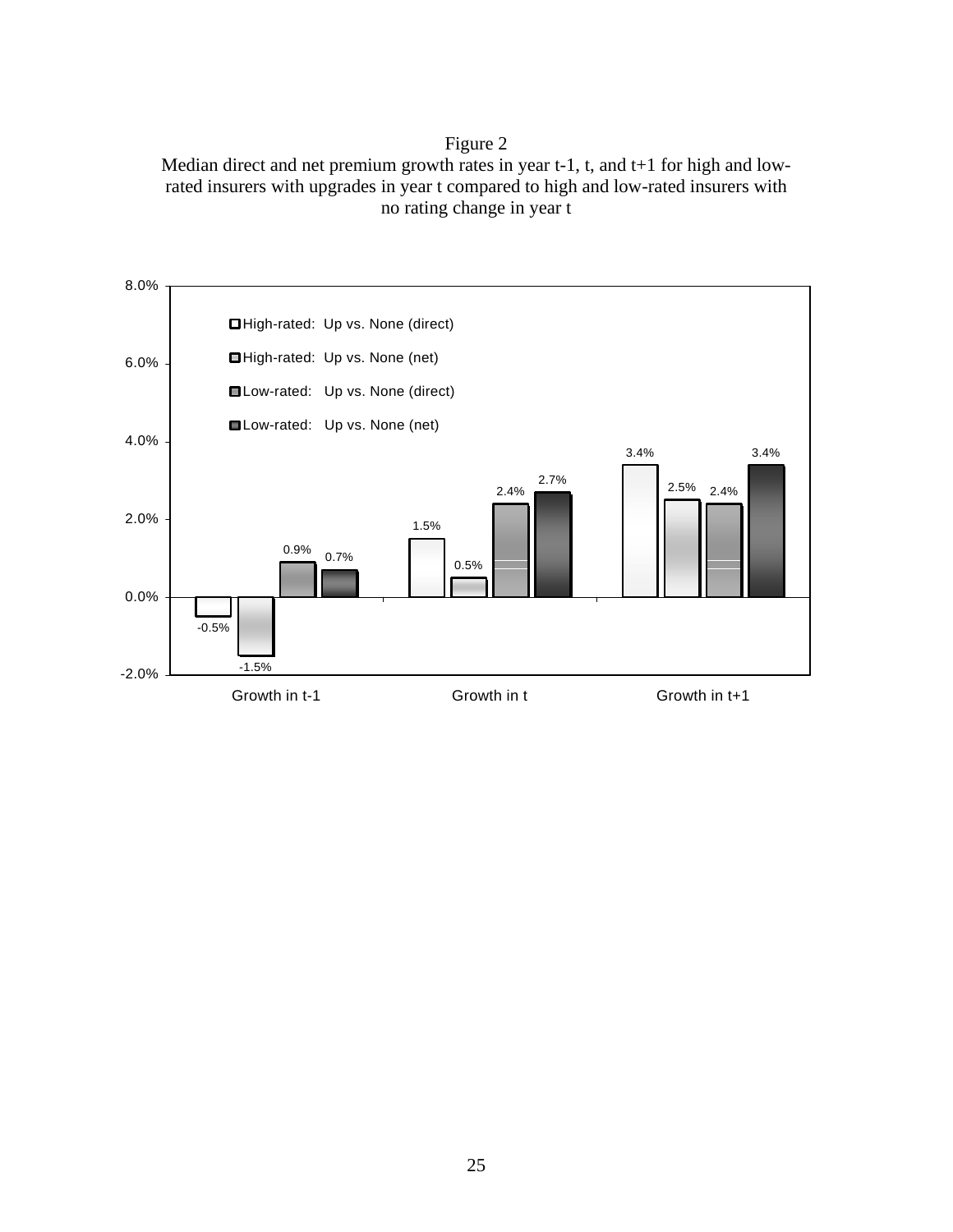## Figure 2

Median direct and net premium growth rates in year t-1, t, and t+1 for high and lowrated insurers with upgrades in year t compared to high and low-rated insurers with no rating change in year t

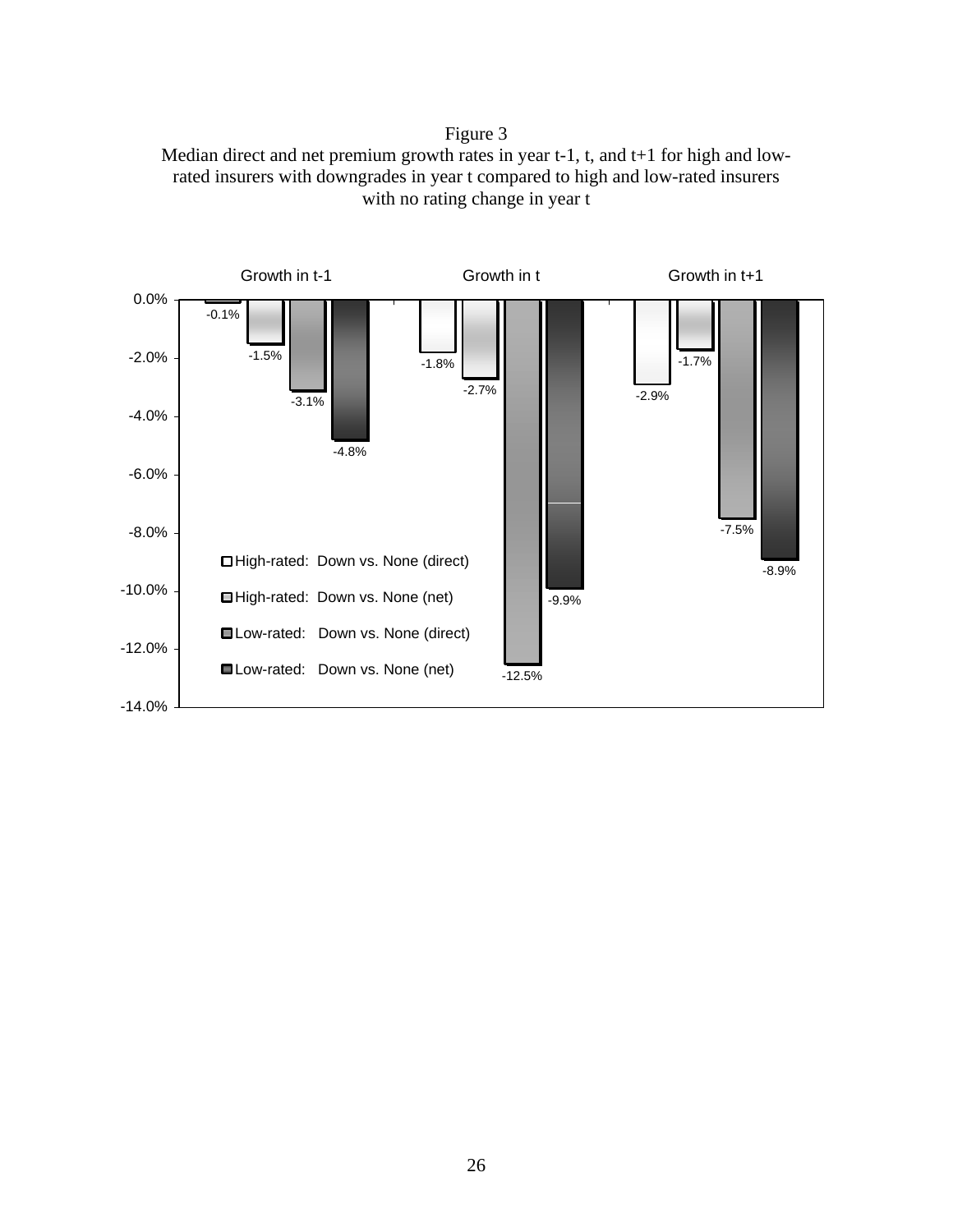# Figure 3



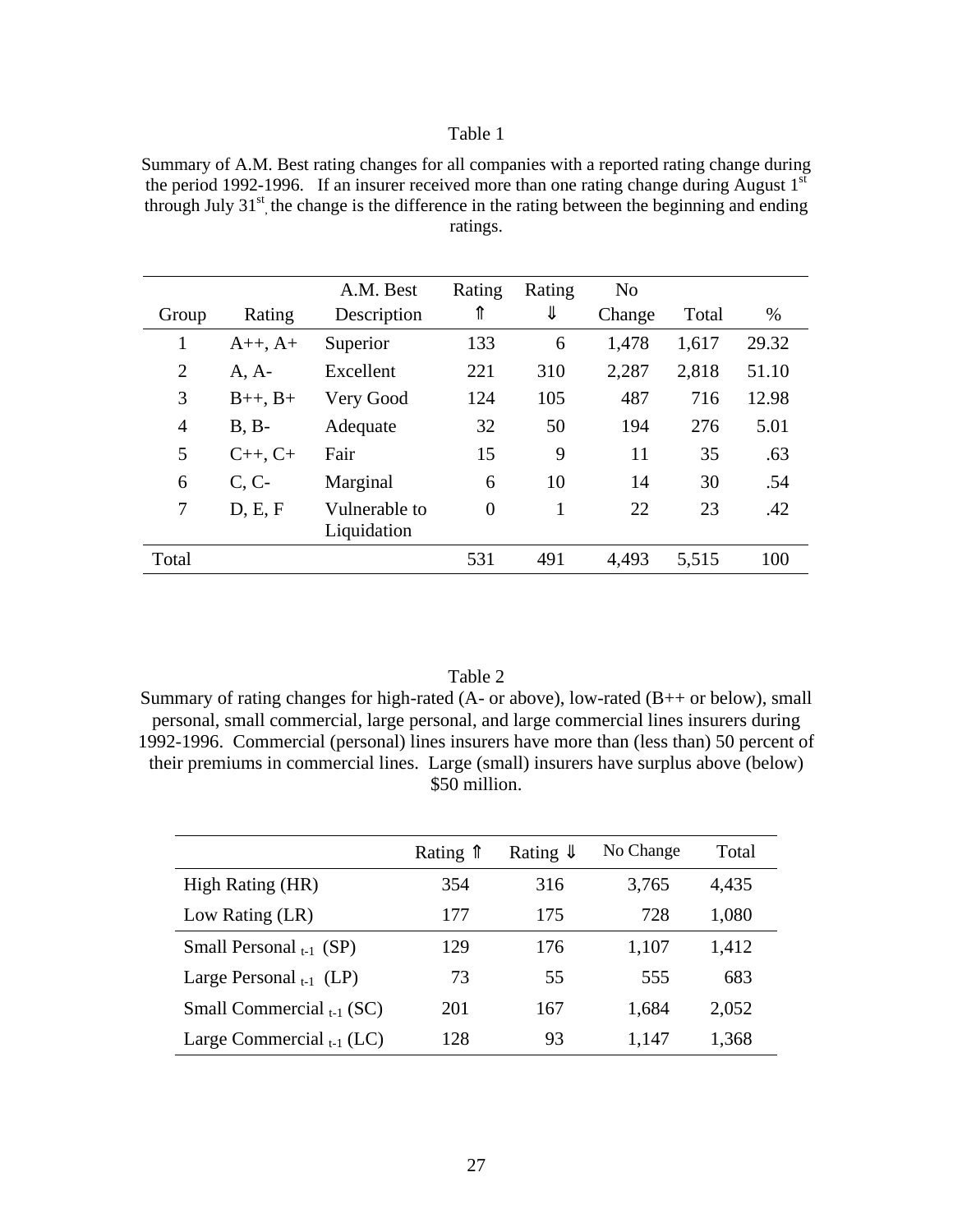Summary of A.M. Best rating changes for all companies with a reported rating change during the period 1992-1996. If an insurer received more than one rating change during August  $1<sup>st</sup>$ through July  $31<sup>st</sup>$ , the change is the difference in the rating between the beginning and ending ratings.

|                |                    | A.M. Best     | Rating         | Rating | N <sub>o</sub> |       |       |
|----------------|--------------------|---------------|----------------|--------|----------------|-------|-------|
| Group          | Rating             | Description   | ⇑              | ⇓      | Change         | Total | %     |
| 1              | $A++, A+$          | Superior      | 133            | 6      | 1,478          | 1,617 | 29.32 |
| $\overline{2}$ | $A, A-$            | Excellent     | 221            | 310    | 2,287          | 2,818 | 51.10 |
| 3              | $B_{++}$ , $B_{+}$ | Very Good     | 124            | 105    | 487            | 716   | 12.98 |
| $\overline{4}$ | $B, B-$            | Adequate      | 32             | 50     | 194            | 276   | 5.01  |
| 5              | $C_{++}$ , $C_{+}$ | Fair          | 15             | 9      | 11             | 35    | .63   |
| 6              | C, C               | Marginal      | 6              | 10     | 14             | 30    | .54   |
| 7              | D, E, F            | Vulnerable to | $\overline{0}$ | 1      | 22             | 23    | .42   |
|                |                    | Liquidation   |                |        |                |       |       |
| Total          |                    |               | 531            | 491    | 4,493          | 5,515 | 100   |

#### Table 2

Summary of rating changes for high-rated (A- or above), low-rated (B++ or below), small personal, small commercial, large personal, and large commercial lines insurers during 1992-1996. Commercial (personal) lines insurers have more than (less than) 50 percent of their premiums in commercial lines. Large (small) insurers have surplus above (below) \$50 million.

|                                | Rating $\hat{\parallel}$ | Rating $\Downarrow$ | No Change | Total |
|--------------------------------|--------------------------|---------------------|-----------|-------|
| High Rating (HR)               | 354                      | 316                 | 3,765     | 4,435 |
| Low Rating (LR)                | 177                      | 175                 | 728       | 1,080 |
| Small Personal $_{t-1}$ (SP)   | 129                      | 176                 | 1,107     | 1,412 |
| Large Personal $_{t-1}$ (LP)   | 73                       | 55                  | 555       | 683   |
| Small Commercial $_{t-1}$ (SC) | 201                      | 167                 | 1,684     | 2,052 |
| Large Commercial $_{t-1}$ (LC) | 128                      | 93                  | 1,147     | 1,368 |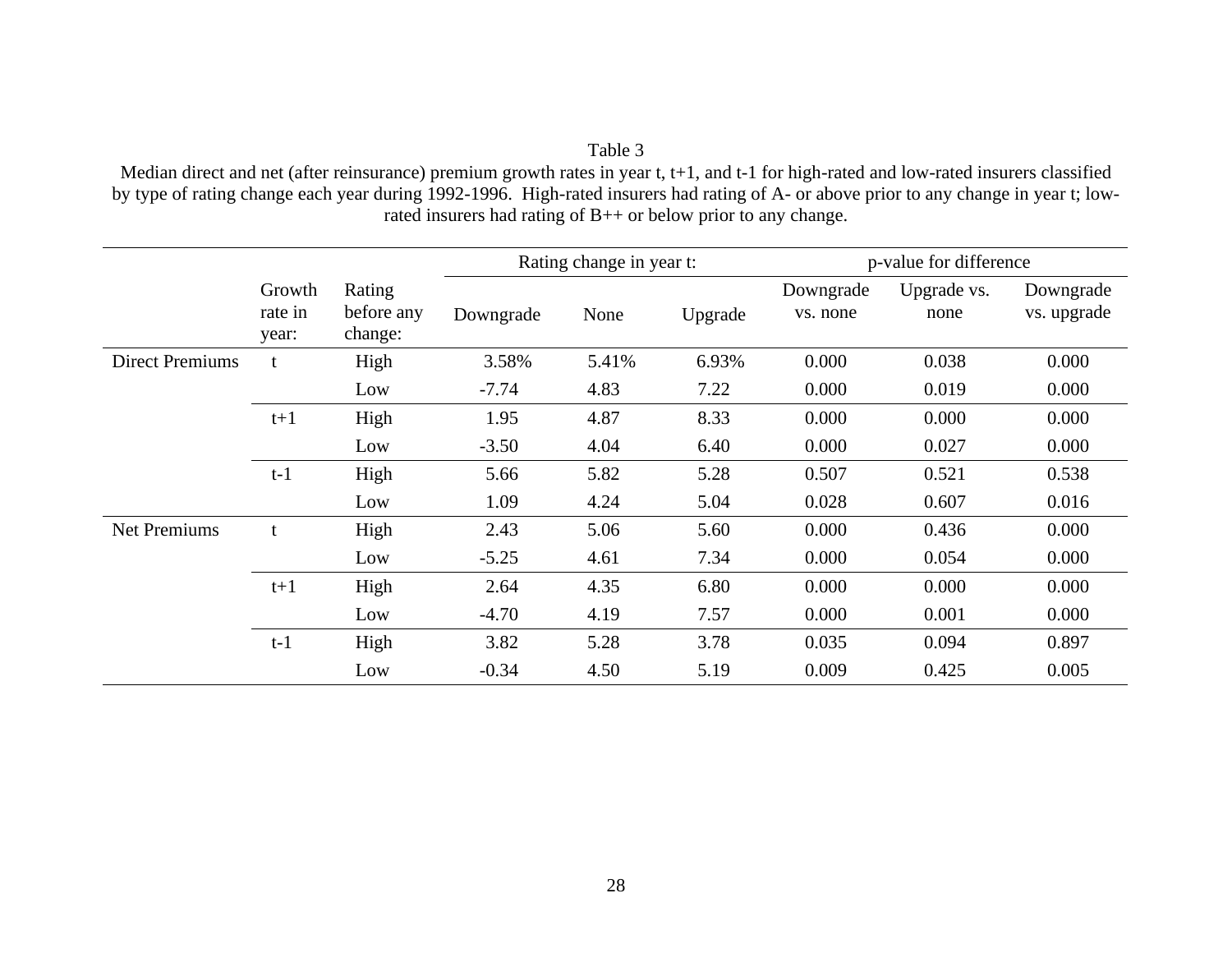Median direct and net (after reinsurance) premium growth rates in year t, t+1, and t-1 for high-rated and low-rated insurers classified by type of rating change each year during 1992-1996. High-rated insurers had rating of A- or above prior to any change in year t; lowrated insurers had rating of B++ or below prior to any change.

|                        |                            |                                 |           | Rating change in year t: |         |                       | p-value for difference |                          |
|------------------------|----------------------------|---------------------------------|-----------|--------------------------|---------|-----------------------|------------------------|--------------------------|
|                        | Growth<br>rate in<br>year: | Rating<br>before any<br>change: | Downgrade | None                     | Upgrade | Downgrade<br>vs. none | Upgrade vs.<br>none    | Downgrade<br>vs. upgrade |
| <b>Direct Premiums</b> | t                          | High                            | 3.58%     | 5.41%                    | 6.93%   | 0.000                 | 0.038                  | 0.000                    |
|                        |                            | Low                             | $-7.74$   | 4.83                     | 7.22    | 0.000                 | 0.019                  | 0.000                    |
|                        | $t+1$                      | High                            | 1.95      | 4.87                     | 8.33    | 0.000                 | 0.000                  | 0.000                    |
|                        |                            | Low                             | $-3.50$   | 4.04                     | 6.40    | 0.000                 | 0.027                  | 0.000                    |
|                        | $t-1$                      | High                            | 5.66      | 5.82                     | 5.28    | 0.507                 | 0.521                  | 0.538                    |
|                        |                            | Low                             | 1.09      | 4.24                     | 5.04    | 0.028                 | 0.607                  | 0.016                    |
| <b>Net Premiums</b>    | t                          | High                            | 2.43      | 5.06                     | 5.60    | 0.000                 | 0.436                  | 0.000                    |
|                        |                            | Low                             | $-5.25$   | 4.61                     | 7.34    | 0.000                 | 0.054                  | 0.000                    |
|                        | $t+1$                      | High                            | 2.64      | 4.35                     | 6.80    | 0.000                 | 0.000                  | 0.000                    |
|                        |                            | Low                             | $-4.70$   | 4.19                     | 7.57    | 0.000                 | 0.001                  | 0.000                    |
|                        | $t-1$                      | High                            | 3.82      | 5.28                     | 3.78    | 0.035                 | 0.094                  | 0.897                    |
|                        |                            | Low                             | $-0.34$   | 4.50                     | 5.19    | 0.009                 | 0.425                  | 0.005                    |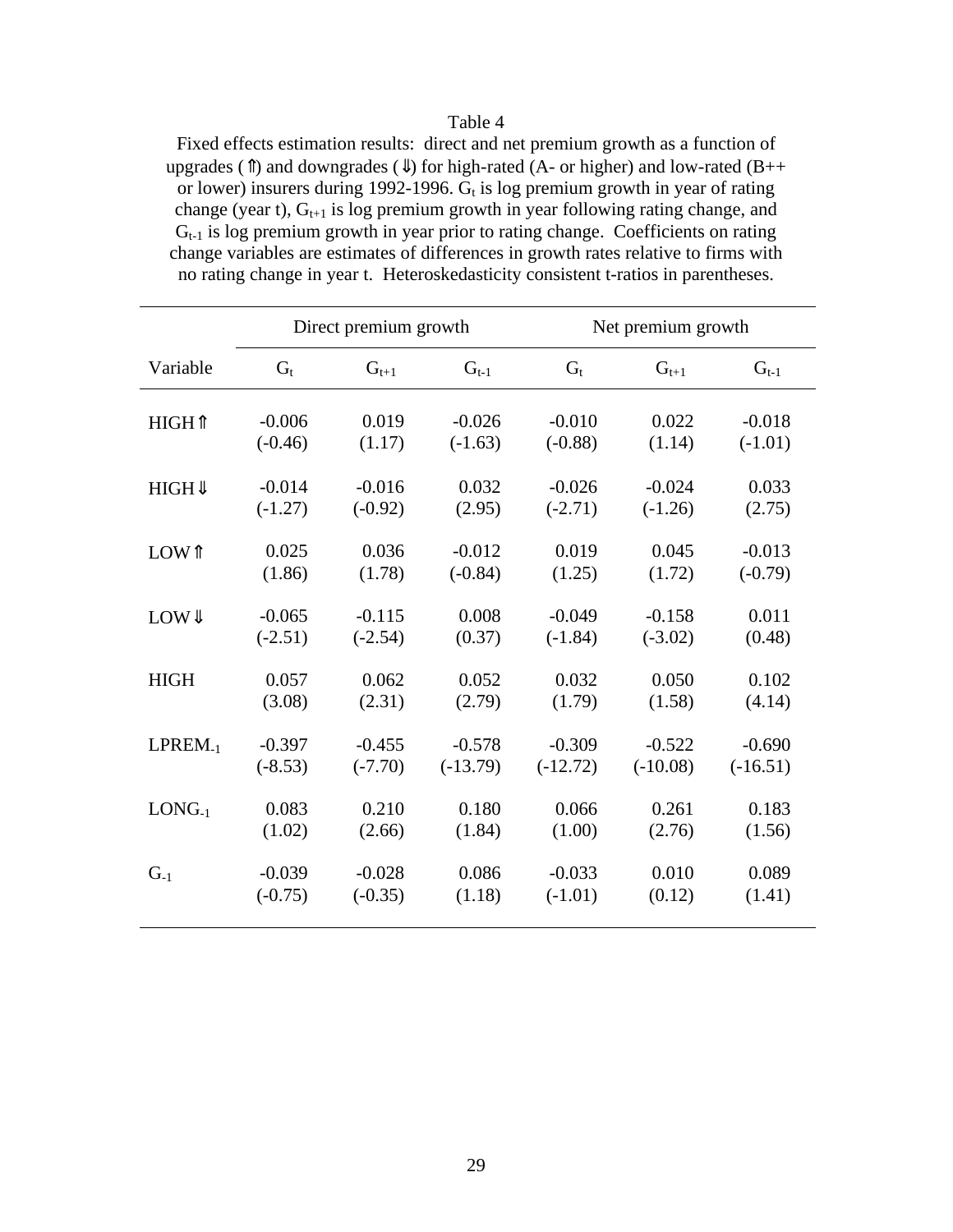Fixed effects estimation results: direct and net premium growth as a function of upgrades ( $\hat{\mathbb{I}}$ ) and downgrades ( $\hat{\mathbb{I}}$ ) for high-rated (A- or higher) and low-rated (B++ or lower) insurers during 1992-1996.  $G_t$  is log premium growth in year of rating change (year t),  $G_{t+1}$  is log premium growth in year following rating change, and  $G_{t-1}$  is log premium growth in year prior to rating change. Coefficients on rating change variables are estimates of differences in growth rates relative to firms with no rating change in year t. Heteroskedasticity consistent t-ratios in parentheses.

|                     |           | Direct premium growth |            |            | Net premium growth |            |
|---------------------|-----------|-----------------------|------------|------------|--------------------|------------|
| Variable            | $G_t$     | $G_{t+1}$             | $G_{t-1}$  | $G_t$      | $G_{t+1}$          | $G_{t-1}$  |
| HIGH <sub>1</sub>   | $-0.006$  | 0.019                 | $-0.026$   | $-0.010$   | 0.022              | $-0.018$   |
|                     | $(-0.46)$ | (1.17)                | $(-1.63)$  | $(-0.88)$  | (1.14)             | $(-1.01)$  |
| HIGH                | $-0.014$  | $-0.016$              | 0.032      | $-0.026$   | $-0.024$           | 0.033      |
|                     | $(-1.27)$ | $(-0.92)$             | (2.95)     | $(-2.71)$  | $(-1.26)$          | (2.75)     |
| LOW <sup>†</sup>    | 0.025     | 0.036                 | $-0.012$   | 0.019      | 0.045              | $-0.013$   |
|                     | (1.86)    | (1.78)                | $(-0.84)$  | (1.25)     | (1.72)             | $(-0.79)$  |
| LOW                 | $-0.065$  | $-0.115$              | 0.008      | $-0.049$   | $-0.158$           | 0.011      |
|                     | $(-2.51)$ | $(-2.54)$             | (0.37)     | $(-1.84)$  | $(-3.02)$          | (0.48)     |
| <b>HIGH</b>         | 0.057     | 0.062                 | 0.052      | 0.032      | 0.050              | 0.102      |
|                     | (3.08)    | (2.31)                | (2.79)     | (1.79)     | (1.58)             | (4.14)     |
| LPREM <sub>-1</sub> | $-0.397$  | $-0.455$              | $-0.578$   | $-0.309$   | $-0.522$           | $-0.690$   |
|                     | $(-8.53)$ | $(-7.70)$             | $(-13.79)$ | $(-12.72)$ | $(-10.08)$         | $(-16.51)$ |
| $LONG-1$            | 0.083     | 0.210                 | 0.180      | 0.066      | 0.261              | 0.183      |
|                     | (1.02)    | (2.66)                | (1.84)     | (1.00)     | (2.76)             | (1.56)     |
| $G_{-1}$            | $-0.039$  | $-0.028$              | 0.086      | $-0.033$   | 0.010              | 0.089      |
|                     | $(-0.75)$ | $(-0.35)$             | (1.18)     | $(-1.01)$  | (0.12)             | (1.41)     |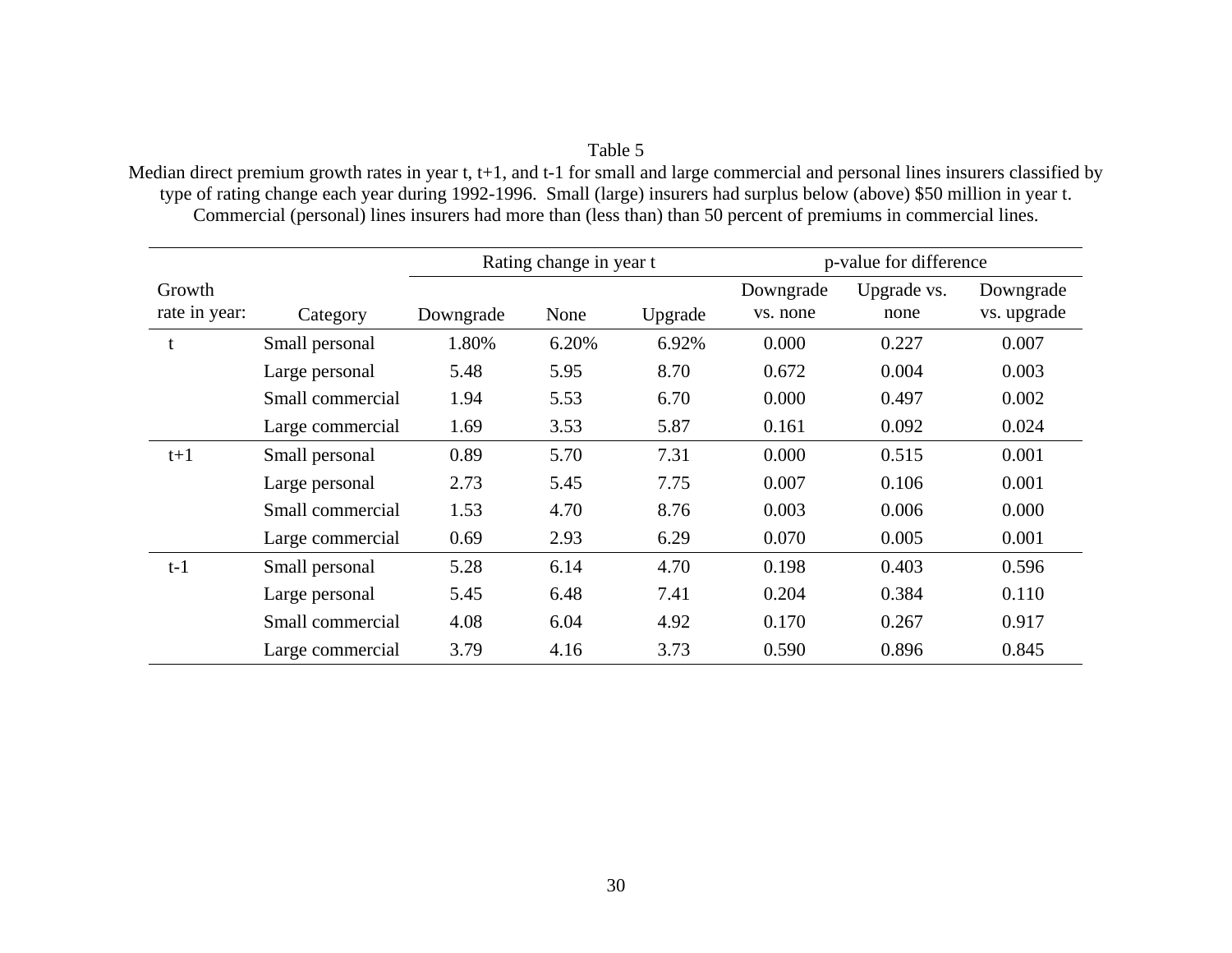Median direct premium growth rates in year t, t+1, and t-1 for small and large commercial and personal lines insurers classified by type of rating change each year during 1992-1996. Small (large) insurers had surplus below (above) \$50 million in year t. Commercial (personal) lines insurers had more than (less than) than 50 percent of premiums in commercial lines.

|                         |                  | Rating change in year t |       |         |                       | p-value for difference |                          |
|-------------------------|------------------|-------------------------|-------|---------|-----------------------|------------------------|--------------------------|
| Growth<br>rate in year: | Category         | Downgrade               | None  | Upgrade | Downgrade<br>vs. none | Upgrade vs.<br>none    | Downgrade<br>vs. upgrade |
|                         | Small personal   | 1.80%                   | 6.20% | 6.92%   | 0.000                 | 0.227                  | 0.007                    |
|                         | Large personal   | 5.48                    | 5.95  | 8.70    | 0.672                 | 0.004                  | 0.003                    |
|                         | Small commercial | 1.94                    | 5.53  | 6.70    | 0.000                 | 0.497                  | 0.002                    |
|                         | Large commercial | 1.69                    | 3.53  | 5.87    | 0.161                 | 0.092                  | 0.024                    |
| $t+1$                   | Small personal   | 0.89                    | 5.70  | 7.31    | 0.000                 | 0.515                  | 0.001                    |
|                         | Large personal   | 2.73                    | 5.45  | 7.75    | 0.007                 | 0.106                  | 0.001                    |
|                         | Small commercial | 1.53                    | 4.70  | 8.76    | 0.003                 | 0.006                  | 0.000                    |
|                         | Large commercial | 0.69                    | 2.93  | 6.29    | 0.070                 | 0.005                  | 0.001                    |
| $t-1$                   | Small personal   | 5.28                    | 6.14  | 4.70    | 0.198                 | 0.403                  | 0.596                    |
|                         | Large personal   | 5.45                    | 6.48  | 7.41    | 0.204                 | 0.384                  | 0.110                    |
|                         | Small commercial | 4.08                    | 6.04  | 4.92    | 0.170                 | 0.267                  | 0.917                    |
|                         | Large commercial | 3.79                    | 4.16  | 3.73    | 0.590                 | 0.896                  | 0.845                    |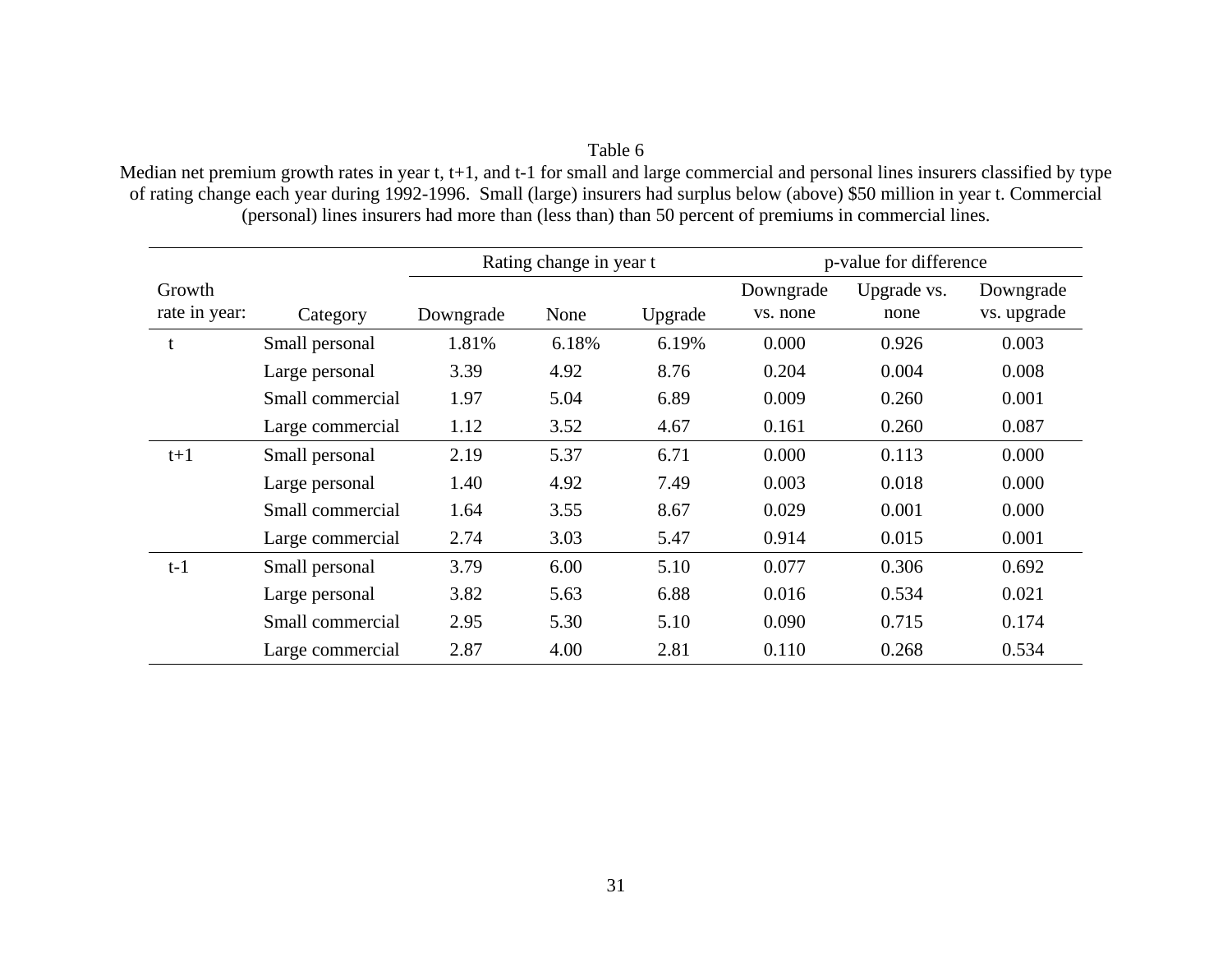Median net premium growth rates in year t, t+1, and t-1 for small and large commercial and personal lines insurers classified by type of rating change each year during 1992-1996. Small (large) insurers had surplus below (above) \$50 million in year t. Commercial (personal) lines insurers had more than (less than) than 50 percent of premiums in commercial lines.

|                         |                  | Rating change in year t |       |         |                       | p-value for difference |                          |
|-------------------------|------------------|-------------------------|-------|---------|-----------------------|------------------------|--------------------------|
| Growth<br>rate in year: | Category         | Downgrade               | None  | Upgrade | Downgrade<br>vs. none | Upgrade vs.<br>none    | Downgrade<br>vs. upgrade |
| t                       | Small personal   | 1.81%                   | 6.18% | 6.19%   | 0.000                 | 0.926                  | 0.003                    |
|                         | Large personal   | 3.39                    | 4.92  | 8.76    | 0.204                 | 0.004                  | 0.008                    |
|                         | Small commercial | 1.97                    | 5.04  | 6.89    | 0.009                 | 0.260                  | 0.001                    |
|                         | Large commercial | 1.12                    | 3.52  | 4.67    | 0.161                 | 0.260                  | 0.087                    |
| $t+1$                   | Small personal   | 2.19                    | 5.37  | 6.71    | 0.000                 | 0.113                  | 0.000                    |
|                         | Large personal   | 1.40                    | 4.92  | 7.49    | 0.003                 | 0.018                  | 0.000                    |
|                         | Small commercial | 1.64                    | 3.55  | 8.67    | 0.029                 | 0.001                  | 0.000                    |
|                         | Large commercial | 2.74                    | 3.03  | 5.47    | 0.914                 | 0.015                  | 0.001                    |
| $t-1$                   | Small personal   | 3.79                    | 6.00  | 5.10    | 0.077                 | 0.306                  | 0.692                    |
|                         | Large personal   | 3.82                    | 5.63  | 6.88    | 0.016                 | 0.534                  | 0.021                    |
|                         | Small commercial | 2.95                    | 5.30  | 5.10    | 0.090                 | 0.715                  | 0.174                    |
|                         | Large commercial | 2.87                    | 4.00  | 2.81    | 0.110                 | 0.268                  | 0.534                    |